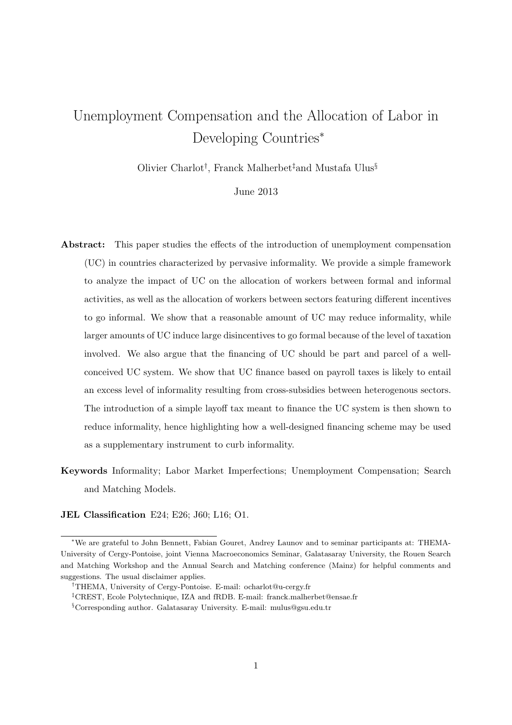# Unemployment Compensation and the Allocation of Labor in Developing Countries<sup>∗</sup>

Olivier Charlot† , Franck Malherbet‡and Mustafa Ulus§

### June 2013

- Abstract: This paper studies the effects of the introduction of unemployment compensation (UC) in countries characterized by pervasive informality. We provide a simple framework to analyze the impact of UC on the allocation of workers between formal and informal activities, as well as the allocation of workers between sectors featuring different incentives to go informal. We show that a reasonable amount of UC may reduce informality, while larger amounts of UC induce large disincentives to go formal because of the level of taxation involved. We also argue that the financing of UC should be part and parcel of a wellconceived UC system. We show that UC finance based on payroll taxes is likely to entail an excess level of informality resulting from cross-subsidies between heterogenous sectors. The introduction of a simple layoff tax meant to finance the UC system is then shown to reduce informality, hence highlighting how a well-designed financing scheme may be used as a supplementary instrument to curb informality.
- Keywords Informality; Labor Market Imperfections; Unemployment Compensation; Search and Matching Models.
- JEL Classification E24: E26: J60: L16: O1.

<sup>∗</sup>We are grateful to John Bennett, Fabian Gouret, Andrey Launov and to seminar participants at: THEMA-University of Cergy-Pontoise, joint Vienna Macroeconomics Seminar, Galatasaray University, the Rouen Search and Matching Workshop and the Annual Search and Matching conference (Mainz) for helpful comments and suggestions. The usual disclaimer applies.

<sup>†</sup>THEMA, University of Cergy-Pontoise. E-mail: ocharlot@u-cergy.fr

<sup>‡</sup>CREST, Ecole Polytechnique, IZA and fRDB. E-mail: franck.malherbet@ensae.fr

<sup>§</sup>Corresponding author. Galatasaray University. E-mail: mulus@gsu.edu.tr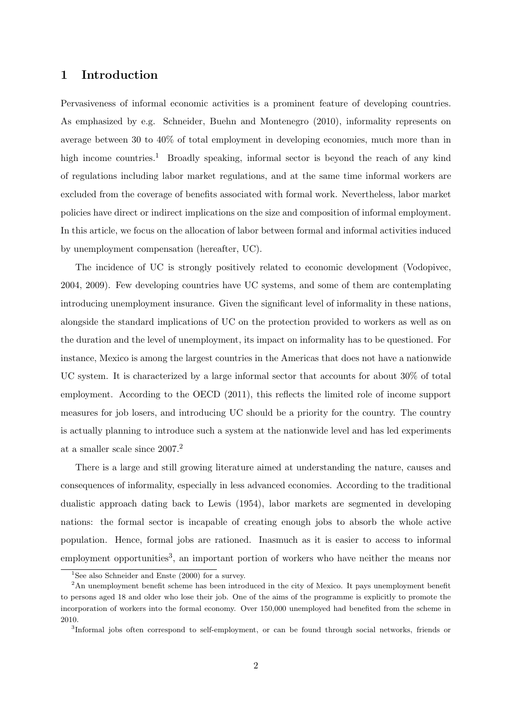### 1 Introduction

Pervasiveness of informal economic activities is a prominent feature of developing countries. As emphasized by e.g. Schneider, Buehn and Montenegro (2010), informality represents on average between 30 to 40% of total employment in developing economies, much more than in high income countries.<sup>1</sup> Broadly speaking, informal sector is beyond the reach of any kind of regulations including labor market regulations, and at the same time informal workers are excluded from the coverage of benefits associated with formal work. Nevertheless, labor market policies have direct or indirect implications on the size and composition of informal employment. In this article, we focus on the allocation of labor between formal and informal activities induced by unemployment compensation (hereafter, UC).

The incidence of UC is strongly positively related to economic development (Vodopivec, 2004, 2009). Few developing countries have UC systems, and some of them are contemplating introducing unemployment insurance. Given the significant level of informality in these nations, alongside the standard implications of UC on the protection provided to workers as well as on the duration and the level of unemployment, its impact on informality has to be questioned. For instance, Mexico is among the largest countries in the Americas that does not have a nationwide UC system. It is characterized by a large informal sector that accounts for about 30% of total employment. According to the OECD (2011), this reflects the limited role of income support measures for job losers, and introducing UC should be a priority for the country. The country is actually planning to introduce such a system at the nationwide level and has led experiments at a smaller scale since 2007.<sup>2</sup>

There is a large and still growing literature aimed at understanding the nature, causes and consequences of informality, especially in less advanced economies. According to the traditional dualistic approach dating back to Lewis (1954), labor markets are segmented in developing nations: the formal sector is incapable of creating enough jobs to absorb the whole active population. Hence, formal jobs are rationed. Inasmuch as it is easier to access to informal employment opportunities<sup>3</sup>, an important portion of workers who have neither the means nor

<sup>&</sup>lt;sup>1</sup>See also Schneider and Enste  $(2000)$  for a survey.

<sup>&</sup>lt;sup>2</sup>An unemployment benefit scheme has been introduced in the city of Mexico. It pays unemployment benefit to persons aged 18 and older who lose their job. One of the aims of the programme is explicitly to promote the incorporation of workers into the formal economy. Over 150,000 unemployed had benefited from the scheme in 2010.

<sup>3</sup> Informal jobs often correspond to self-employment, or can be found through social networks, friends or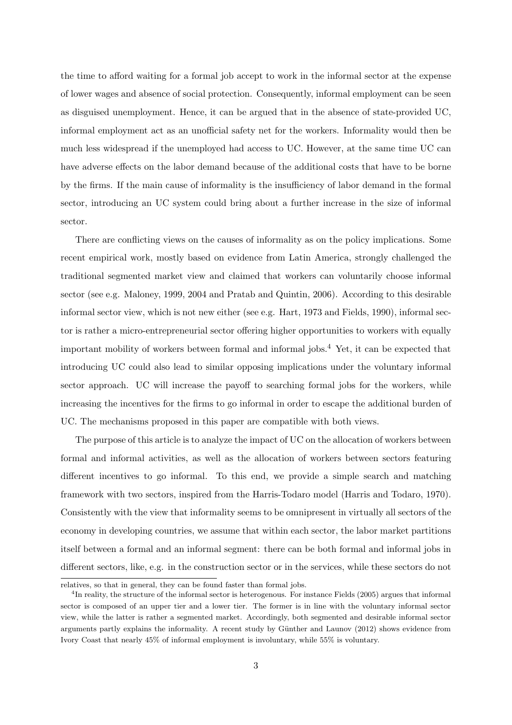the time to afford waiting for a formal job accept to work in the informal sector at the expense of lower wages and absence of social protection. Consequently, informal employment can be seen as disguised unemployment. Hence, it can be argued that in the absence of state-provided UC, informal employment act as an unofficial safety net for the workers. Informality would then be much less widespread if the unemployed had access to UC. However, at the same time UC can have adverse effects on the labor demand because of the additional costs that have to be borne by the firms. If the main cause of informality is the insufficiency of labor demand in the formal sector, introducing an UC system could bring about a further increase in the size of informal sector.

There are conflicting views on the causes of informality as on the policy implications. Some recent empirical work, mostly based on evidence from Latin America, strongly challenged the traditional segmented market view and claimed that workers can voluntarily choose informal sector (see e.g. Maloney, 1999, 2004 and Pratab and Quintin, 2006). According to this desirable informal sector view, which is not new either (see e.g. Hart, 1973 and Fields, 1990), informal sector is rather a micro-entrepreneurial sector offering higher opportunities to workers with equally important mobility of workers between formal and informal jobs.<sup>4</sup> Yet, it can be expected that introducing UC could also lead to similar opposing implications under the voluntary informal sector approach. UC will increase the payoff to searching formal jobs for the workers, while increasing the incentives for the firms to go informal in order to escape the additional burden of UC. The mechanisms proposed in this paper are compatible with both views.

The purpose of this article is to analyze the impact of UC on the allocation of workers between formal and informal activities, as well as the allocation of workers between sectors featuring different incentives to go informal. To this end, we provide a simple search and matching framework with two sectors, inspired from the Harris-Todaro model (Harris and Todaro, 1970). Consistently with the view that informality seems to be omnipresent in virtually all sectors of the economy in developing countries, we assume that within each sector, the labor market partitions itself between a formal and an informal segment: there can be both formal and informal jobs in different sectors, like, e.g. in the construction sector or in the services, while these sectors do not

relatives, so that in general, they can be found faster than formal jobs.

<sup>&</sup>lt;sup>4</sup>In reality, the structure of the informal sector is heterogenous. For instance Fields (2005) argues that informal sector is composed of an upper tier and a lower tier. The former is in line with the voluntary informal sector view, while the latter is rather a segmented market. Accordingly, both segmented and desirable informal sector arguments partly explains the informality. A recent study by Günther and Launov (2012) shows evidence from Ivory Coast that nearly 45% of informal employment is involuntary, while 55% is voluntary.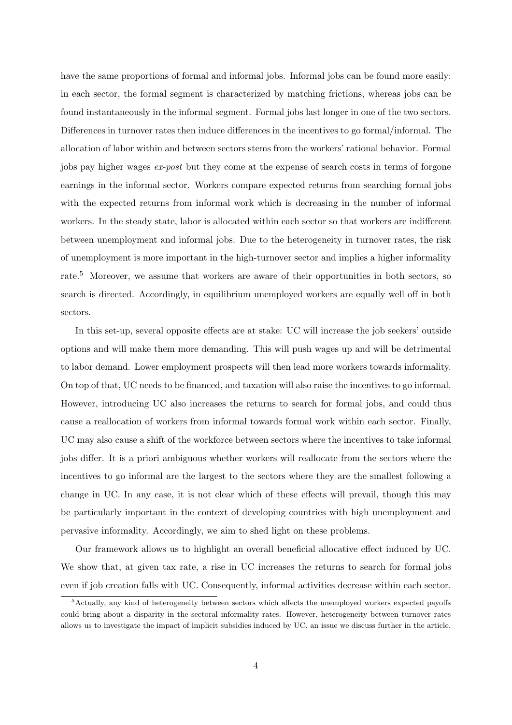have the same proportions of formal and informal jobs. Informal jobs can be found more easily: in each sector, the formal segment is characterized by matching frictions, whereas jobs can be found instantaneously in the informal segment. Formal jobs last longer in one of the two sectors. Differences in turnover rates then induce differences in the incentives to go formal/informal. The allocation of labor within and between sectors stems from the workers' rational behavior. Formal jobs pay higher wages  $ex$ -post but they come at the expense of search costs in terms of forgone earnings in the informal sector. Workers compare expected returns from searching formal jobs with the expected returns from informal work which is decreasing in the number of informal workers. In the steady state, labor is allocated within each sector so that workers are indifferent between unemployment and informal jobs. Due to the heterogeneity in turnover rates, the risk of unemployment is more important in the high-turnover sector and implies a higher informality rate.<sup>5</sup> Moreover, we assume that workers are aware of their opportunities in both sectors, so search is directed. Accordingly, in equilibrium unemployed workers are equally well off in both sectors.

In this set-up, several opposite effects are at stake: UC will increase the job seekers' outside options and will make them more demanding. This will push wages up and will be detrimental to labor demand. Lower employment prospects will then lead more workers towards informality. On top of that, UC needs to be financed, and taxation will also raise the incentives to go informal. However, introducing UC also increases the returns to search for formal jobs, and could thus cause a reallocation of workers from informal towards formal work within each sector. Finally, UC may also cause a shift of the workforce between sectors where the incentives to take informal jobs differ. It is a priori ambiguous whether workers will reallocate from the sectors where the incentives to go informal are the largest to the sectors where they are the smallest following a change in UC. In any case, it is not clear which of these effects will prevail, though this may be particularly important in the context of developing countries with high unemployment and pervasive informality. Accordingly, we aim to shed light on these problems.

Our framework allows us to highlight an overall beneficial allocative effect induced by UC. We show that, at given tax rate, a rise in UC increases the returns to search for formal jobs even if job creation falls with UC. Consequently, informal activities decrease within each sector.

<sup>5</sup>Actually, any kind of heterogeneity between sectors which affects the unemployed workers expected payoffs could bring about a disparity in the sectoral informality rates. However, heterogeneity between turnover rates allows us to investigate the impact of implicit subsidies induced by UC, an issue we discuss further in the article.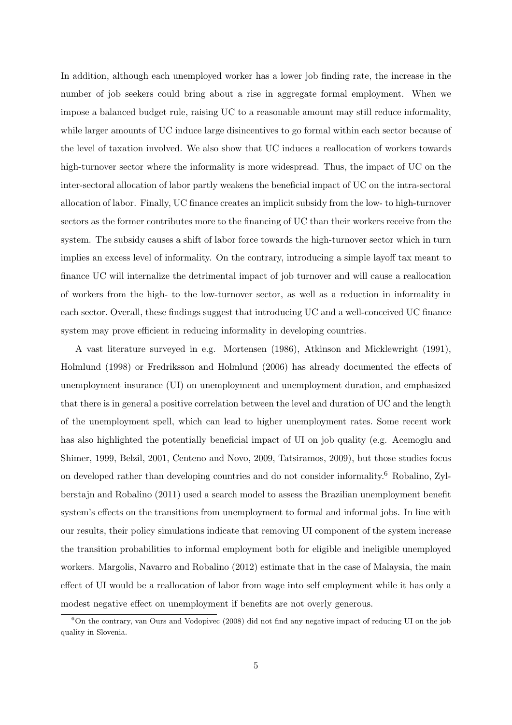In addition, although each unemployed worker has a lower job finding rate, the increase in the number of job seekers could bring about a rise in aggregate formal employment. When we impose a balanced budget rule, raising UC to a reasonable amount may still reduce informality, while larger amounts of UC induce large disincentives to go formal within each sector because of the level of taxation involved. We also show that UC induces a reallocation of workers towards high-turnover sector where the informality is more widespread. Thus, the impact of UC on the inter-sectoral allocation of labor partly weakens the beneficial impact of UC on the intra-sectoral allocation of labor. Finally, UC finance creates an implicit subsidy from the low- to high-turnover sectors as the former contributes more to the financing of UC than their workers receive from the system. The subsidy causes a shift of labor force towards the high-turnover sector which in turn implies an excess level of informality. On the contrary, introducing a simple layoff tax meant to finance UC will internalize the detrimental impact of job turnover and will cause a reallocation of workers from the high- to the low-turnover sector, as well as a reduction in informality in each sector. Overall, these findings suggest that introducing UC and a well-conceived UC finance system may prove efficient in reducing informality in developing countries.

A vast literature surveyed in e.g. Mortensen (1986), Atkinson and Micklewright (1991), Holmlund (1998) or Fredriksson and Holmlund (2006) has already documented the effects of unemployment insurance (UI) on unemployment and unemployment duration, and emphasized that there is in general a positive correlation between the level and duration of UC and the length of the unemployment spell, which can lead to higher unemployment rates. Some recent work has also highlighted the potentially beneficial impact of UI on job quality (e.g. Acemoglu and Shimer, 1999, Belzil, 2001, Centeno and Novo, 2009, Tatsiramos, 2009), but those studies focus on developed rather than developing countries and do not consider informality.<sup>6</sup> Robalino, Zylberstajn and Robalino (2011) used a search model to assess the Brazilian unemployment benefit system's effects on the transitions from unemployment to formal and informal jobs. In line with our results, their policy simulations indicate that removing UI component of the system increase the transition probabilities to informal employment both for eligible and ineligible unemployed workers. Margolis, Navarro and Robalino (2012) estimate that in the case of Malaysia, the main effect of UI would be a reallocation of labor from wage into self employment while it has only a modest negative effect on unemployment if benefits are not overly generous.

<sup>6</sup>On the contrary, van Ours and Vodopivec (2008) did not find any negative impact of reducing UI on the job quality in Slovenia.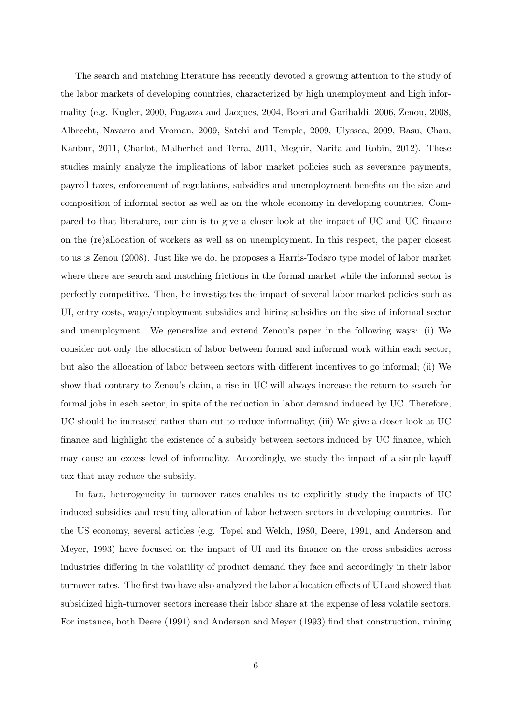The search and matching literature has recently devoted a growing attention to the study of the labor markets of developing countries, characterized by high unemployment and high informality (e.g. Kugler, 2000, Fugazza and Jacques, 2004, Boeri and Garibaldi, 2006, Zenou, 2008, Albrecht, Navarro and Vroman, 2009, Satchi and Temple, 2009, Ulyssea, 2009, Basu, Chau, Kanbur, 2011, Charlot, Malherbet and Terra, 2011, Meghir, Narita and Robin, 2012). These studies mainly analyze the implications of labor market policies such as severance payments, payroll taxes, enforcement of regulations, subsidies and unemployment benefits on the size and composition of informal sector as well as on the whole economy in developing countries. Compared to that literature, our aim is to give a closer look at the impact of UC and UC finance on the (re)allocation of workers as well as on unemployment. In this respect, the paper closest to us is Zenou (2008). Just like we do, he proposes a Harris-Todaro type model of labor market where there are search and matching frictions in the formal market while the informal sector is perfectly competitive. Then, he investigates the impact of several labor market policies such as UI, entry costs, wage/employment subsidies and hiring subsidies on the size of informal sector and unemployment. We generalize and extend Zenou's paper in the following ways: (i) We consider not only the allocation of labor between formal and informal work within each sector, but also the allocation of labor between sectors with different incentives to go informal; (ii) We show that contrary to Zenou's claim, a rise in UC will always increase the return to search for formal jobs in each sector, in spite of the reduction in labor demand induced by UC. Therefore, UC should be increased rather than cut to reduce informality; (iii) We give a closer look at UC finance and highlight the existence of a subsidy between sectors induced by UC finance, which may cause an excess level of informality. Accordingly, we study the impact of a simple layoff tax that may reduce the subsidy.

In fact, heterogeneity in turnover rates enables us to explicitly study the impacts of UC induced subsidies and resulting allocation of labor between sectors in developing countries. For the US economy, several articles (e.g. Topel and Welch, 1980, Deere, 1991, and Anderson and Meyer, 1993) have focused on the impact of UI and its finance on the cross subsidies across industries differing in the volatility of product demand they face and accordingly in their labor turnover rates. The first two have also analyzed the labor allocation effects of UI and showed that subsidized high-turnover sectors increase their labor share at the expense of less volatile sectors. For instance, both Deere (1991) and Anderson and Meyer (1993) find that construction, mining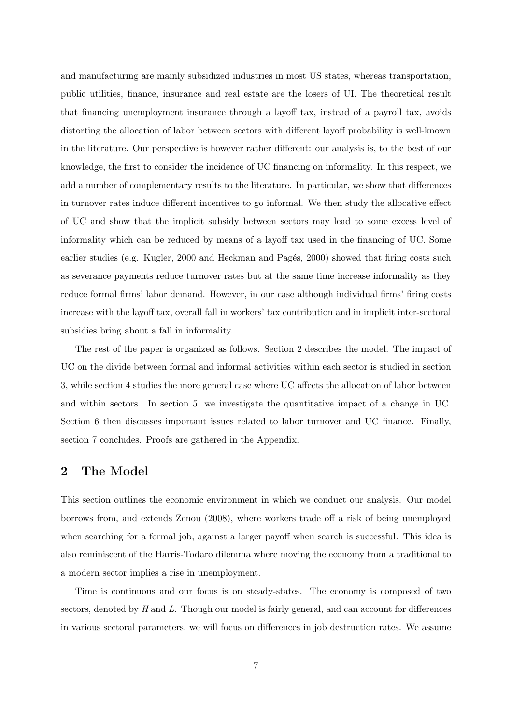and manufacturing are mainly subsidized industries in most US states, whereas transportation, public utilities, finance, insurance and real estate are the losers of UI. The theoretical result that financing unemployment insurance through a layoff tax, instead of a payroll tax, avoids distorting the allocation of labor between sectors with different layoff probability is well-known in the literature. Our perspective is however rather different: our analysis is, to the best of our knowledge, the first to consider the incidence of UC financing on informality. In this respect, we add a number of complementary results to the literature. In particular, we show that differences in turnover rates induce different incentives to go informal. We then study the allocative effect of UC and show that the implicit subsidy between sectors may lead to some excess level of informality which can be reduced by means of a layoff tax used in the financing of UC. Some earlier studies (e.g. Kugler, 2000 and Heckman and Pagés, 2000) showed that firing costs such as severance payments reduce turnover rates but at the same time increase informality as they reduce formal firms' labor demand. However, in our case although individual firms' firing costs increase with the layoff tax, overall fall in workers' tax contribution and in implicit inter-sectoral subsidies bring about a fall in informality.

The rest of the paper is organized as follows. Section 2 describes the model. The impact of UC on the divide between formal and informal activities within each sector is studied in section 3, while section 4 studies the more general case where UC affects the allocation of labor between and within sectors. In section 5, we investigate the quantitative impact of a change in UC. Section 6 then discusses important issues related to labor turnover and UC finance. Finally, section 7 concludes. Proofs are gathered in the Appendix.

### 2 The Model

This section outlines the economic environment in which we conduct our analysis. Our model borrows from, and extends Zenou (2008), where workers trade off a risk of being unemployed when searching for a formal job, against a larger payoff when search is successful. This idea is also reminiscent of the Harris-Todaro dilemma where moving the economy from a traditional to a modern sector implies a rise in unemployment.

Time is continuous and our focus is on steady-states. The economy is composed of two sectors, denoted by  $H$  and  $L$ . Though our model is fairly general, and can account for differences in various sectoral parameters, we will focus on differences in job destruction rates. We assume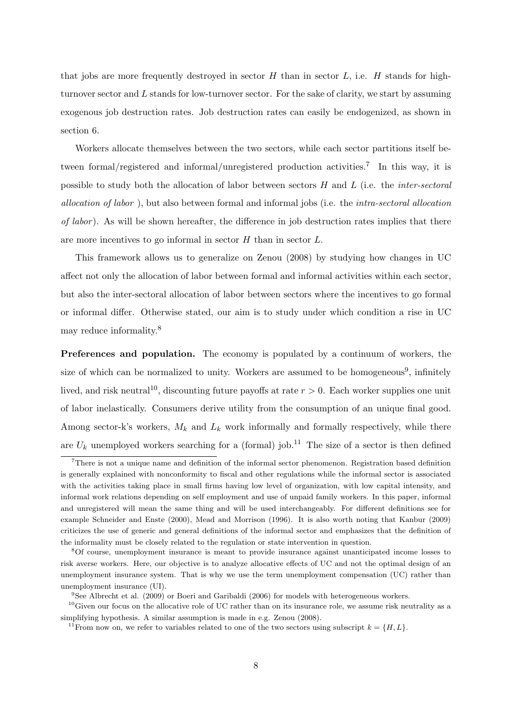that jobs are more frequently destroyed in sector  $H$  than in sector  $L$ , i.e.  $H$  stands for highturnover sector and  $L$  stands for low-turnover sector. For the sake of clarity, we start by assuming exogenous job destruction rates. Job destruction rates can easily be endogenized, as shown in section 6.

Workers allocate themselves between the two sectors, while each sector partitions itself between formal/registered and informal/unregistered production activities.<sup>7</sup> In this way, it is possible to study both the allocation of labor between sectors  $H$  and  $L$  (i.e. the *inter-sectoral* allocation of labor ), but also between formal and informal jobs (i.e. the intra-sectoral allocation of labor ). As will be shown hereafter, the difference in job destruction rates implies that there are more incentives to go informal in sector  $H$  than in sector  $L$ .

This framework allows us to generalize on Zenou (2008) by studying how changes in UC affect not only the allocation of labor between formal and informal activities within each sector, but also the inter-sectoral allocation of labor between sectors where the incentives to go formal or informal differ. Otherwise stated, our aim is to study under which condition a rise in UC may reduce informality.<sup>8</sup>

Preferences and population. The economy is populated by a continuum of workers, the size of which can be normalized to unity. Workers are assumed to be homogeneous<sup>9</sup>, infinitely lived, and risk neutral<sup>10</sup>, discounting future payoffs at rate  $r > 0$ . Each worker supplies one unit of labor inelastically. Consumers derive utility from the consumption of an unique final good. Among sector-k's workers,  $M_k$  and  $L_k$  work informally and formally respectively, while there are  $U_k$  unemployed workers searching for a (formal) job.<sup>11</sup> The size of a sector is then defined

<sup>7</sup>There is not a unique name and definition of the informal sector phenomenon. Registration based definition is generally explained with nonconformity to fiscal and other regulations while the informal sector is associated with the activities taking place in small firms having low level of organization, with low capital intensity, and informal work relations depending on self employment and use of unpaid family workers. In this paper, informal and unregistered will mean the same thing and will be used interchangeably. For different definitions see for example Schneider and Enste (2000), Mead and Morrison (1996). It is also worth noting that Kanbur (2009) criticizes the use of generic and general definitions of the informal sector and emphasizes that the definition of the informality must be closely related to the regulation or state intervention in question.

<sup>8</sup>Of course, unemployment insurance is meant to provide insurance against unanticipated income losses to risk averse workers. Here, our objective is to analyze allocative effects of UC and not the optimal design of an unemployment insurance system. That is why we use the term unemployment compensation (UC) rather than unemployment insurance (UI).

<sup>9</sup>See Albrecht et al. (2009) or Boeri and Garibaldi (2006) for models with heterogeneous workers.

 $10$ Given our focus on the allocative role of UC rather than on its insurance role, we assume risk neutrality as a simplifying hypothesis. A similar assumption is made in e.g. Zenou (2008).

<sup>&</sup>lt;sup>11</sup>From now on, we refer to variables related to one of the two sectors using subscript  $k = \{H, L\}.$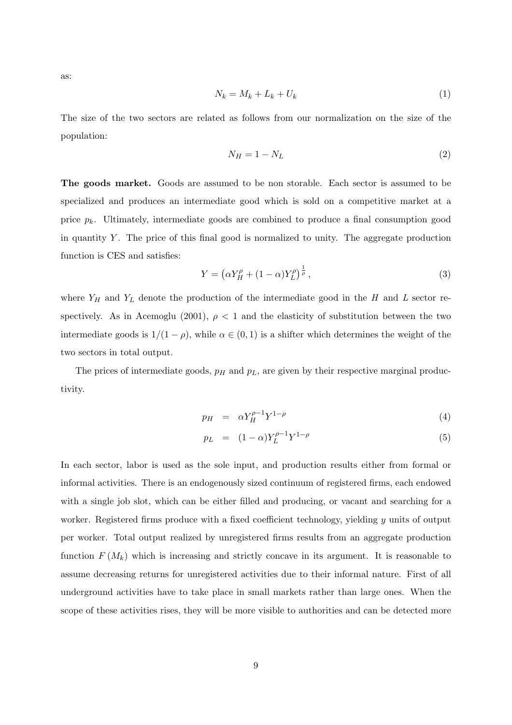as:

$$
N_k = M_k + L_k + U_k \tag{1}
$$

The size of the two sectors are related as follows from our normalization on the size of the population:

$$
N_H = 1 - N_L \tag{2}
$$

The goods market. Goods are assumed to be non storable. Each sector is assumed to be specialized and produces an intermediate good which is sold on a competitive market at a price  $p_k$ . Ultimately, intermediate goods are combined to produce a final consumption good in quantity  $Y$ . The price of this final good is normalized to unity. The aggregate production function is CES and satisfies:

$$
Y = \left(\alpha Y_H^{\rho} + (1 - \alpha) Y_L^{\rho}\right)^{\frac{1}{\rho}},\tag{3}
$$

where  $Y_H$  and  $Y_L$  denote the production of the intermediate good in the H and L sector respectively. As in Acemoglu (2001),  $\rho < 1$  and the elasticity of substitution between the two intermediate goods is  $1/(1 - \rho)$ , while  $\alpha \in (0, 1)$  is a shifter which determines the weight of the two sectors in total output.

The prices of intermediate goods,  $p<sub>H</sub>$  and  $p<sub>L</sub>$ , are given by their respective marginal productivity.

$$
p_H = \alpha Y_H^{\rho - 1} Y^{1 - \rho} \tag{4}
$$

$$
p_L = (1 - \alpha) Y_L^{\rho - 1} Y^{1 - \rho} \tag{5}
$$

In each sector, labor is used as the sole input, and production results either from formal or informal activities. There is an endogenously sized continuum of registered firms, each endowed with a single job slot, which can be either filled and producing, or vacant and searching for a worker. Registered firms produce with a fixed coefficient technology, yielding y units of output per worker. Total output realized by unregistered firms results from an aggregate production function  $F(M_k)$  which is increasing and strictly concave in its argument. It is reasonable to assume decreasing returns for unregistered activities due to their informal nature. First of all underground activities have to take place in small markets rather than large ones. When the scope of these activities rises, they will be more visible to authorities and can be detected more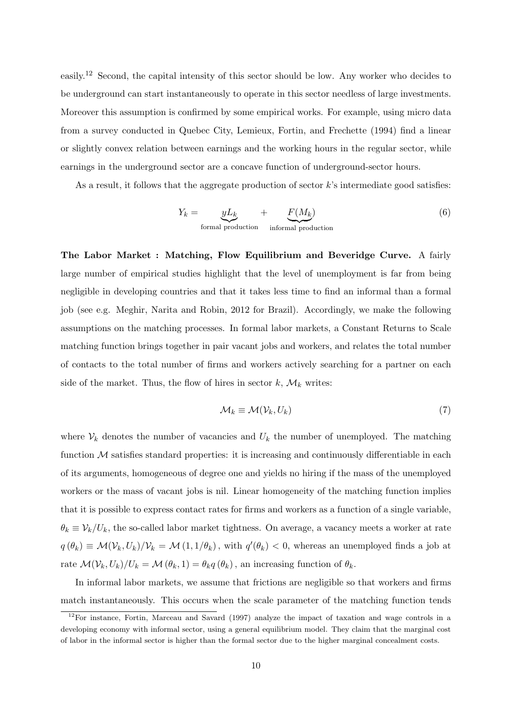easily.<sup>12</sup> Second, the capital intensity of this sector should be low. Any worker who decides to be underground can start instantaneously to operate in this sector needless of large investments. Moreover this assumption is confirmed by some empirical works. For example, using micro data from a survey conducted in Quebec City, Lemieux, Fortin, and Frechette (1994) find a linear or slightly convex relation between earnings and the working hours in the regular sector, while earnings in the underground sector are a concave function of underground-sector hours.

As a result, it follows that the aggregate production of sector  $k$ 's intermediate good satisfies:

$$
Y_k = \underbrace{yL_k}_{\text{formal production}} + \underbrace{F(M_k)}_{\text{informal production}} \tag{6}
$$

The Labor Market : Matching, Flow Equilibrium and Beveridge Curve. A fairly large number of empirical studies highlight that the level of unemployment is far from being negligible in developing countries and that it takes less time to find an informal than a formal job (see e.g. Meghir, Narita and Robin, 2012 for Brazil). Accordingly, we make the following assumptions on the matching processes. In formal labor markets, a Constant Returns to Scale matching function brings together in pair vacant jobs and workers, and relates the total number of contacts to the total number of firms and workers actively searching for a partner on each side of the market. Thus, the flow of hires in sector  $k, \mathcal{M}_k$  writes:

$$
\mathcal{M}_k \equiv \mathcal{M}(\mathcal{V}_k, U_k) \tag{7}
$$

where  $V_k$  denotes the number of vacancies and  $U_k$  the number of unemployed. The matching function  $M$  satisfies standard properties: it is increasing and continuously differentiable in each of its arguments, homogeneous of degree one and yields no hiring if the mass of the unemployed workers or the mass of vacant jobs is nil. Linear homogeneity of the matching function implies that it is possible to express contact rates for firms and workers as a function of a single variable,  $\theta_k \equiv \mathcal{V}_k/U_k$ , the so-called labor market tightness. On average, a vacancy meets a worker at rate  $q(\theta_k) \equiv \mathcal{M}(\mathcal{V}_k, U_k)/\mathcal{V}_k = \mathcal{M}(1, 1/\theta_k)$ , with  $q'(\theta_k) < 0$ , whereas an unemployed finds a job at rate  $\mathcal{M}(\mathcal{V}_k, U_k)/U_k = \mathcal{M}(\theta_k, 1) = \theta_k q(\theta_k)$ , an increasing function of  $\theta_k$ .

In informal labor markets, we assume that frictions are negligible so that workers and firms match instantaneously. This occurs when the scale parameter of the matching function tends

 $12$ For instance, Fortin, Marceau and Savard (1997) analyze the impact of taxation and wage controls in a developing economy with informal sector, using a general equilibrium model. They claim that the marginal cost of labor in the informal sector is higher than the formal sector due to the higher marginal concealment costs.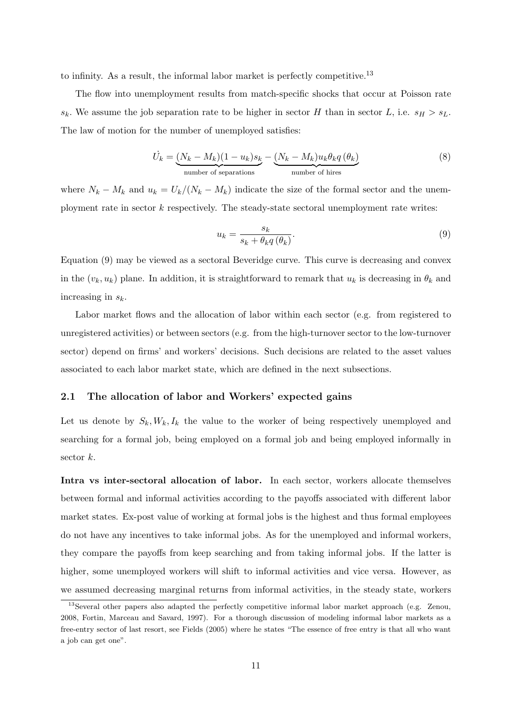to infinity. As a result, the informal labor market is perfectly competitive.<sup>13</sup>

The flow into unemployment results from match-specific shocks that occur at Poisson rate  $s_k$ . We assume the job separation rate to be higher in sector H than in sector L, i.e.  $s_H > s_L$ . The law of motion for the number of unemployed satisfies:

$$
\dot{U}_k = \underbrace{(N_k - M_k)(1 - u_k)s_k}_{\text{number of separations}} - \underbrace{(N_k - M_k)u_k \theta_k q(\theta_k)}_{\text{number of hires}} \tag{8}
$$

where  $N_k - M_k$  and  $u_k = U_k/(N_k - M_k)$  indicate the size of the formal sector and the unemployment rate in sector  $k$  respectively. The steady-state sectoral unemployment rate writes:

$$
u_k = \frac{s_k}{s_k + \theta_k q(\theta_k)}.\tag{9}
$$

Equation (9) may be viewed as a sectoral Beveridge curve. This curve is decreasing and convex in the  $(v_k, u_k)$  plane. In addition, it is straightforward to remark that  $u_k$  is decreasing in  $\theta_k$  and increasing in  $s_k$ .

Labor market flows and the allocation of labor within each sector (e.g. from registered to unregistered activities) or between sectors (e.g. from the high-turnover sector to the low-turnover sector) depend on firms' and workers' decisions. Such decisions are related to the asset values associated to each labor market state, which are defined in the next subsections.

#### 2.1 The allocation of labor and Workers' expected gains

Let us denote by  $S_k, W_k, I_k$  the value to the worker of being respectively unemployed and searching for a formal job, being employed on a formal job and being employed informally in sector k.

Intra vs inter-sectoral allocation of labor. In each sector, workers allocate themselves between formal and informal activities according to the payoffs associated with different labor market states. Ex-post value of working at formal jobs is the highest and thus formal employees do not have any incentives to take informal jobs. As for the unemployed and informal workers, they compare the payoffs from keep searching and from taking informal jobs. If the latter is higher, some unemployed workers will shift to informal activities and vice versa. However, as we assumed decreasing marginal returns from informal activities, in the steady state, workers

<sup>13</sup>Several other papers also adapted the perfectly competitive informal labor market approach (e.g. Zenou, 2008, Fortin, Marceau and Savard, 1997). For a thorough discussion of modeling informal labor markets as a free-entry sector of last resort, see Fields (2005) where he states "The essence of free entry is that all who want a job can get one".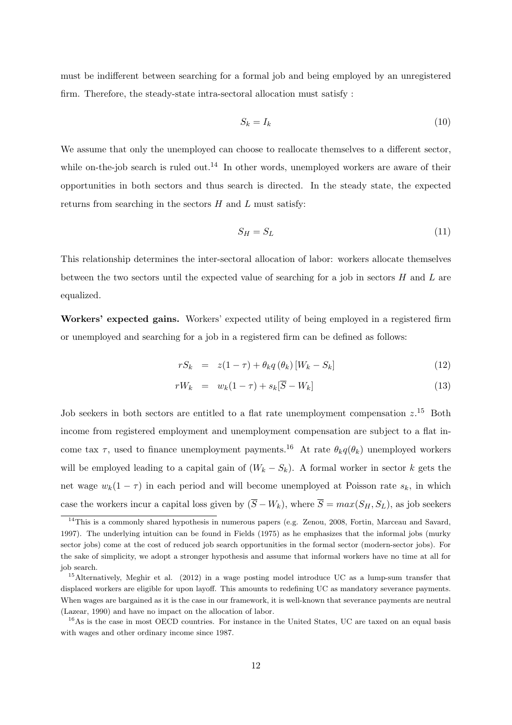must be indifferent between searching for a formal job and being employed by an unregistered firm. Therefore, the steady-state intra-sectoral allocation must satisfy :

$$
S_k = I_k \tag{10}
$$

We assume that only the unemployed can choose to reallocate themselves to a different sector, while on-the-job search is ruled out.<sup>14</sup> In other words, unemployed workers are aware of their opportunities in both sectors and thus search is directed. In the steady state, the expected returns from searching in the sectors  $H$  and  $L$  must satisfy:

$$
S_H = S_L \tag{11}
$$

This relationship determines the inter-sectoral allocation of labor: workers allocate themselves between the two sectors until the expected value of searching for a job in sectors  $H$  and  $L$  are equalized.

Workers' expected gains. Workers' expected utility of being employed in a registered firm or unemployed and searching for a job in a registered firm can be defined as follows:

$$
rS_k = z(1-\tau) + \theta_k q(\theta_k) \left[ W_k - S_k \right] \tag{12}
$$

$$
rW_k = w_k(1-\tau) + s_k[\overline{S} - W_k]
$$
\n
$$
(13)
$$

Job seekers in both sectors are entitled to a flat rate unemployment compensation  $z^{15}$  Both income from registered employment and unemployment compensation are subject to a flat income tax  $\tau$ , used to finance unemployment payments.<sup>16</sup> At rate  $\theta_k q(\theta_k)$  unemployed workers will be employed leading to a capital gain of  $(W_k - S_k)$ . A formal worker in sector k gets the net wage  $w_k(1-\tau)$  in each period and will become unemployed at Poisson rate  $s_k$ , in which case the workers incur a capital loss given by  $(\overline{S} - W_k)$ , where  $\overline{S} = max(S_H, S_L)$ , as job seekers

<sup>&</sup>lt;sup>14</sup>This is a commonly shared hypothesis in numerous papers (e.g. Zenou, 2008, Fortin, Marceau and Savard, 1997). The underlying intuition can be found in Fields (1975) as he emphasizes that the informal jobs (murky sector jobs) come at the cost of reduced job search opportunities in the formal sector (modern-sector jobs). For the sake of simplicity, we adopt a stronger hypothesis and assume that informal workers have no time at all for job search.

<sup>&</sup>lt;sup>15</sup>Alternatively, Meghir et al. (2012) in a wage posting model introduce UC as a lump-sum transfer that displaced workers are eligible for upon layoff. This amounts to redefining UC as mandatory severance payments. When wages are bargained as it is the case in our framework, it is well-known that severance payments are neutral (Lazear, 1990) and have no impact on the allocation of labor.

<sup>&</sup>lt;sup>16</sup>As is the case in most OECD countries. For instance in the United States, UC are taxed on an equal basis with wages and other ordinary income since 1987.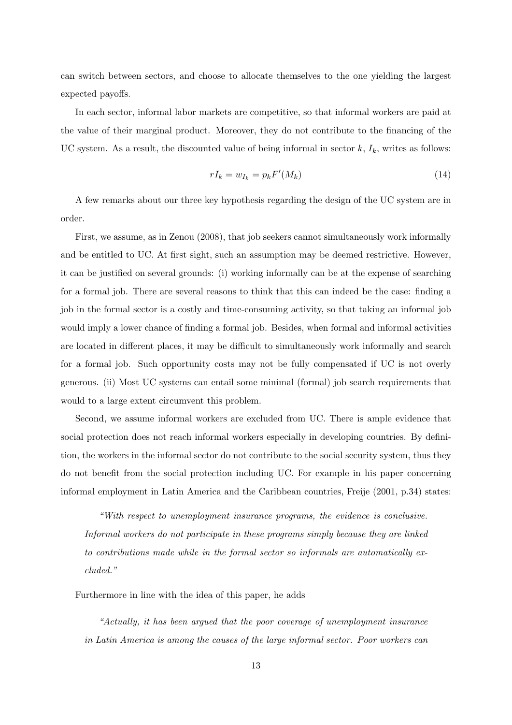can switch between sectors, and choose to allocate themselves to the one yielding the largest expected payoffs.

In each sector, informal labor markets are competitive, so that informal workers are paid at the value of their marginal product. Moreover, they do not contribute to the financing of the UC system. As a result, the discounted value of being informal in sector  $k, I_k$ , writes as follows:

$$
rI_k = w_{I_k} = p_k F'(M_k) \tag{14}
$$

A few remarks about our three key hypothesis regarding the design of the UC system are in order.

First, we assume, as in Zenou (2008), that job seekers cannot simultaneously work informally and be entitled to UC. At first sight, such an assumption may be deemed restrictive. However, it can be justified on several grounds: (i) working informally can be at the expense of searching for a formal job. There are several reasons to think that this can indeed be the case: finding a job in the formal sector is a costly and time-consuming activity, so that taking an informal job would imply a lower chance of finding a formal job. Besides, when formal and informal activities are located in different places, it may be difficult to simultaneously work informally and search for a formal job. Such opportunity costs may not be fully compensated if UC is not overly generous. (ii) Most UC systems can entail some minimal (formal) job search requirements that would to a large extent circumvent this problem.

Second, we assume informal workers are excluded from UC. There is ample evidence that social protection does not reach informal workers especially in developing countries. By definition, the workers in the informal sector do not contribute to the social security system, thus they do not benefit from the social protection including UC. For example in his paper concerning informal employment in Latin America and the Caribbean countries, Freije (2001, p.34) states:

"With respect to unemployment insurance programs, the evidence is conclusive. Informal workers do not participate in these programs simply because they are linked to contributions made while in the formal sector so informals are automatically excluded."

Furthermore in line with the idea of this paper, he adds

"Actually, it has been argued that the poor coverage of unemployment insurance in Latin America is among the causes of the large informal sector. Poor workers can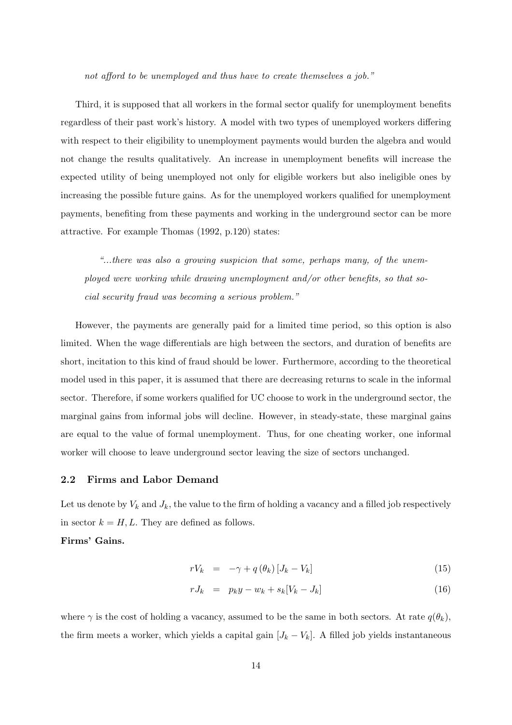not afford to be unemployed and thus have to create themselves a job."

Third, it is supposed that all workers in the formal sector qualify for unemployment benefits regardless of their past work's history. A model with two types of unemployed workers differing with respect to their eligibility to unemployment payments would burden the algebra and would not change the results qualitatively. An increase in unemployment benefits will increase the expected utility of being unemployed not only for eligible workers but also ineligible ones by increasing the possible future gains. As for the unemployed workers qualified for unemployment payments, benefiting from these payments and working in the underground sector can be more attractive. For example Thomas (1992, p.120) states:

"...there was also a growing suspicion that some, perhaps many, of the unemployed were working while drawing unemployment and/or other benefits, so that social security fraud was becoming a serious problem."

However, the payments are generally paid for a limited time period, so this option is also limited. When the wage differentials are high between the sectors, and duration of benefits are short, incitation to this kind of fraud should be lower. Furthermore, according to the theoretical model used in this paper, it is assumed that there are decreasing returns to scale in the informal sector. Therefore, if some workers qualified for UC choose to work in the underground sector, the marginal gains from informal jobs will decline. However, in steady-state, these marginal gains are equal to the value of formal unemployment. Thus, for one cheating worker, one informal worker will choose to leave underground sector leaving the size of sectors unchanged.

### 2.2 Firms and Labor Demand

Let us denote by  $V_k$  and  $J_k$ , the value to the firm of holding a vacancy and a filled job respectively in sector  $k = H, L$ . They are defined as follows.

### Firms' Gains.

$$
rV_k = -\gamma + q(\theta_k)[J_k - V_k] \tag{15}
$$

$$
rJ_k = p_k y - w_k + s_k[V_k - J_k]
$$
\n
$$
(16)
$$

where  $\gamma$  is the cost of holding a vacancy, assumed to be the same in both sectors. At rate  $q(\theta_k)$ , the firm meets a worker, which yields a capital gain  $[J_k - V_k]$ . A filled job yields instantaneous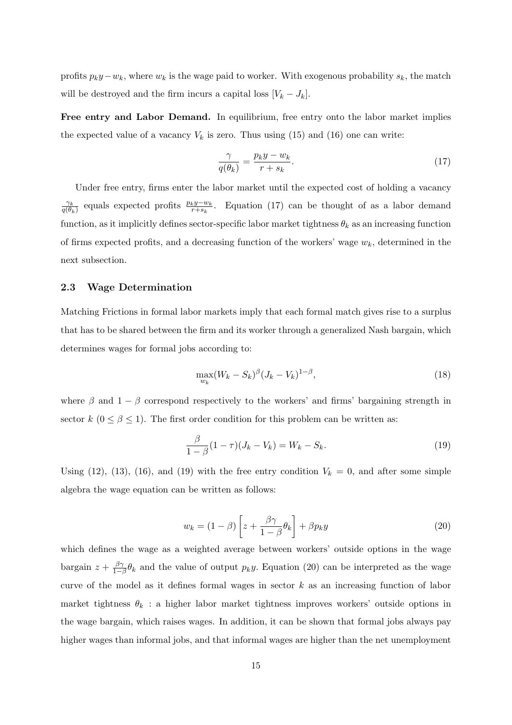profits  $p_ky-w_k$ , where  $w_k$  is the wage paid to worker. With exogenous probability  $s_k$ , the match will be destroyed and the firm incurs a capital loss  $[V_k - J_k]$ .

Free entry and Labor Demand. In equilibrium, free entry onto the labor market implies the expected value of a vacancy  $V_k$  is zero. Thus using (15) and (16) one can write:

$$
\frac{\gamma}{q(\theta_k)} = \frac{p_k y - w_k}{r + s_k}.\tag{17}
$$

Under free entry, firms enter the labor market until the expected cost of holding a vacancy  $\gamma_k$  $\frac{\gamma_k}{q(\theta_k)}$  equals expected profits  $\frac{p_k y - w_k}{r+s_k}$ . Equation (17) can be thought of as a labor demand function, as it implicitly defines sector-specific labor market tightness  $\theta_k$  as an increasing function of firms expected profits, and a decreasing function of the workers' wage  $w_k$ , determined in the next subsection.

### 2.3 Wage Determination

Matching Frictions in formal labor markets imply that each formal match gives rise to a surplus that has to be shared between the firm and its worker through a generalized Nash bargain, which determines wages for formal jobs according to:

$$
\max_{w_k} (W_k - S_k)^{\beta} (J_k - V_k)^{1-\beta}, \tag{18}
$$

where  $\beta$  and  $1 - \beta$  correspond respectively to the workers' and firms' bargaining strength in sector  $k$  ( $0 \le \beta \le 1$ ). The first order condition for this problem can be written as:

$$
\frac{\beta}{1-\beta}(1-\tau)(J_k - V_k) = W_k - S_k.
$$
\n(19)

Using (12), (13), (16), and (19) with the free entry condition  $V_k = 0$ , and after some simple algebra the wage equation can be written as follows:

$$
w_k = (1 - \beta) \left[ z + \frac{\beta \gamma}{1 - \beta} \theta_k \right] + \beta p_k y \tag{20}
$$

which defines the wage as a weighted average between workers' outside options in the wage bargain  $z + \frac{\beta \gamma}{1-\beta}$  $\frac{\beta\gamma}{1-\beta}\theta_k$  and the value of output  $p_k y$ . Equation (20) can be interpreted as the wage curve of the model as it defines formal wages in sector  $k$  as an increasing function of labor market tightness  $\theta_k$ : a higher labor market tightness improves workers' outside options in the wage bargain, which raises wages. In addition, it can be shown that formal jobs always pay higher wages than informal jobs, and that informal wages are higher than the net unemployment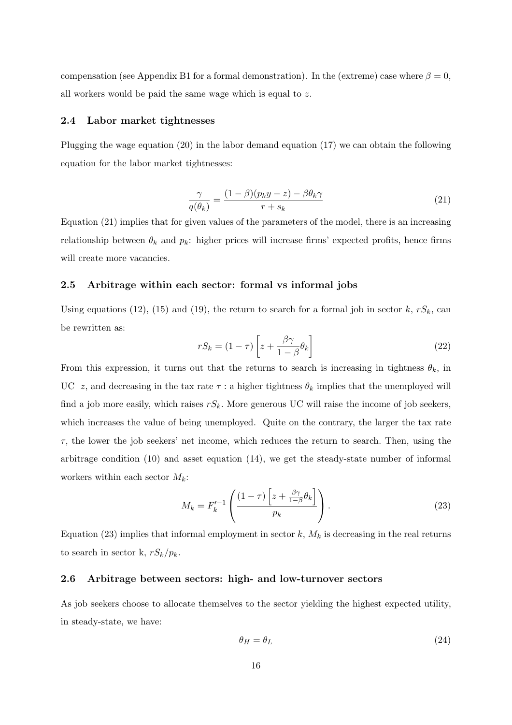compensation (see Appendix B1 for a formal demonstration). In the (extreme) case where  $\beta = 0$ , all workers would be paid the same wage which is equal to z.

#### 2.4 Labor market tightnesses

Plugging the wage equation (20) in the labor demand equation (17) we can obtain the following equation for the labor market tightnesses:

$$
\frac{\gamma}{q(\theta_k)} = \frac{(1-\beta)(p_k y - z) - \beta \theta_k \gamma}{r + s_k} \tag{21}
$$

Equation (21) implies that for given values of the parameters of the model, there is an increasing relationship between  $\theta_k$  and  $p_k$ : higher prices will increase firms' expected profits, hence firms will create more vacancies.

#### 2.5 Arbitrage within each sector: formal vs informal jobs

Using equations (12), (15) and (19), the return to search for a formal job in sector k,  $rS_k$ , can be rewritten as: ·  $\overline{a}$ 

$$
rS_k = (1 - \tau) \left[ z + \frac{\beta \gamma}{1 - \beta} \theta_k \right]
$$
 (22)

From this expression, it turns out that the returns to search is increasing in tightness  $\theta_k$ , in UC z, and decreasing in the tax rate  $\tau$ : a higher tightness  $\theta_k$  implies that the unemployed will find a job more easily, which raises  $rS_k$ . More generous UC will raise the income of job seekers, which increases the value of being unemployed. Quite on the contrary, the larger the tax rate  $\tau$ , the lower the job seekers' net income, which reduces the return to search. Then, using the arbitrage condition  $(10)$  and asset equation  $(14)$ , we get the steady-state number of informal workers within each sector  $M_k$ :

$$
M_k = F_k'^{-1} \left( \frac{(1-\tau) \left[ z + \frac{\beta \gamma}{1-\beta} \theta_k \right]}{p_k} \right). \tag{23}
$$

Equation (23) implies that informal employment in sector  $k$ ,  $M_k$  is decreasing in the real returns to search in sector k,  $rS_k/p_k$ .

#### 2.6 Arbitrage between sectors: high- and low-turnover sectors

As job seekers choose to allocate themselves to the sector yielding the highest expected utility, in steady-state, we have:

$$
\theta_H = \theta_L \tag{24}
$$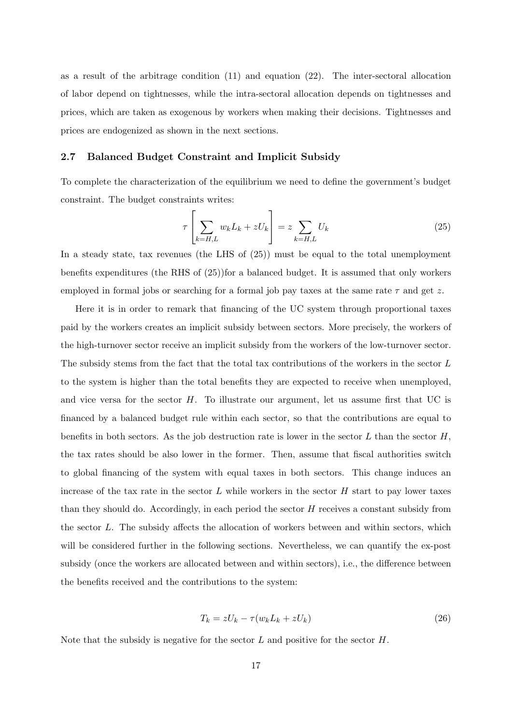as a result of the arbitrage condition (11) and equation (22). The inter-sectoral allocation of labor depend on tightnesses, while the intra-sectoral allocation depends on tightnesses and prices, which are taken as exogenous by workers when making their decisions. Tightnesses and prices are endogenized as shown in the next sections.

### 2.7 Balanced Budget Constraint and Implicit Subsidy

To complete the characterization of the equilibrium we need to define the government's budget constraint. The budget constraints writes:

$$
\tau \left[ \sum_{k=H,L} w_k L_k + z U_k \right] = z \sum_{k=H,L} U_k \tag{25}
$$

In a steady state, tax revenues (the LHS of (25)) must be equal to the total unemployment benefits expenditures (the RHS of (25))for a balanced budget. It is assumed that only workers employed in formal jobs or searching for a formal job pay taxes at the same rate  $\tau$  and get z.

Here it is in order to remark that financing of the UC system through proportional taxes paid by the workers creates an implicit subsidy between sectors. More precisely, the workers of the high-turnover sector receive an implicit subsidy from the workers of the low-turnover sector. The subsidy stems from the fact that the total tax contributions of the workers in the sector L to the system is higher than the total benefits they are expected to receive when unemployed, and vice versa for the sector  $H$ . To illustrate our argument, let us assume first that UC is financed by a balanced budget rule within each sector, so that the contributions are equal to benefits in both sectors. As the job destruction rate is lower in the sector  $L$  than the sector  $H$ , the tax rates should be also lower in the former. Then, assume that fiscal authorities switch to global financing of the system with equal taxes in both sectors. This change induces an increase of the tax rate in the sector  $L$  while workers in the sector  $H$  start to pay lower taxes than they should do. Accordingly, in each period the sector  $H$  receives a constant subsidy from the sector L. The subsidy affects the allocation of workers between and within sectors, which will be considered further in the following sections. Nevertheless, we can quantify the ex-post subsidy (once the workers are allocated between and within sectors), i.e., the difference between the benefits received and the contributions to the system:

$$
T_k = zU_k - \tau(w_k L_k + zU_k)
$$
\n<sup>(26)</sup>

Note that the subsidy is negative for the sector  $L$  and positive for the sector  $H$ .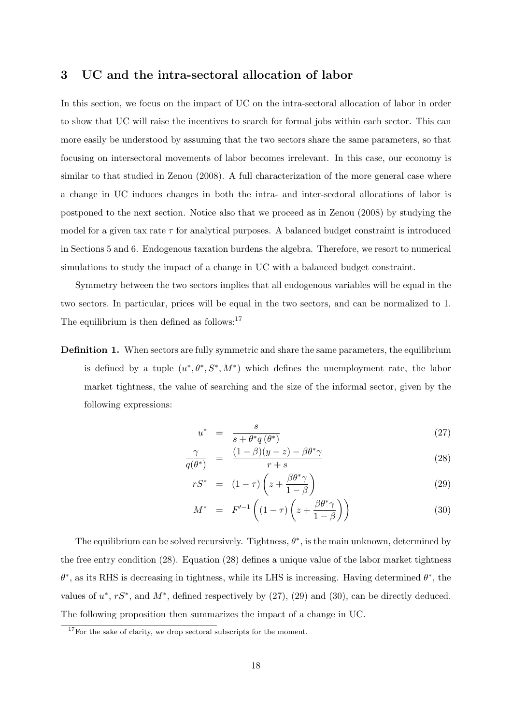### 3 UC and the intra-sectoral allocation of labor

In this section, we focus on the impact of UC on the intra-sectoral allocation of labor in order to show that UC will raise the incentives to search for formal jobs within each sector. This can more easily be understood by assuming that the two sectors share the same parameters, so that focusing on intersectoral movements of labor becomes irrelevant. In this case, our economy is similar to that studied in Zenou (2008). A full characterization of the more general case where a change in UC induces changes in both the intra- and inter-sectoral allocations of labor is postponed to the next section. Notice also that we proceed as in Zenou (2008) by studying the model for a given tax rate  $\tau$  for analytical purposes. A balanced budget constraint is introduced in Sections 5 and 6. Endogenous taxation burdens the algebra. Therefore, we resort to numerical simulations to study the impact of a change in UC with a balanced budget constraint.

Symmetry between the two sectors implies that all endogenous variables will be equal in the two sectors. In particular, prices will be equal in the two sectors, and can be normalized to 1. The equilibrium is then defined as follows:<sup>17</sup>

Definition 1. When sectors are fully symmetric and share the same parameters, the equilibrium is defined by a tuple  $(u^*, \theta^*, S^*, M^*)$  which defines the unemployment rate, the labor market tightness, the value of searching and the size of the informal sector, given by the following expressions:

$$
u^* = \frac{s}{s + \theta^* q(\theta^*)} \tag{27}
$$

$$
\frac{\gamma}{q(\theta^*)} = \frac{(1-\beta)(y-z) - \beta \theta^* \gamma}{r+s}
$$
\n(28)

$$
rS^* = (1 - \tau) \left( z + \frac{\beta \theta^* \gamma}{1 - \beta} \right)
$$
 (29)

$$
M^* = F'^{-1}\left( (1-\tau)\left( z + \frac{\beta \theta^* \gamma}{1-\beta} \right) \right) \tag{30}
$$

The equilibrium can be solved recursively. Tightness,  $\theta^*$ , is the main unknown, determined by the free entry condition (28). Equation (28) defines a unique value of the labor market tightness  $\theta^*$ , as its RHS is decreasing in tightness, while its LHS is increasing. Having determined  $\theta^*$ , the values of  $u^*, rS^*$ , and  $M^*$ , defined respectively by (27), (29) and (30), can be directly deduced. The following proposition then summarizes the impact of a change in UC.

 $17$ For the sake of clarity, we drop sectoral subscripts for the moment.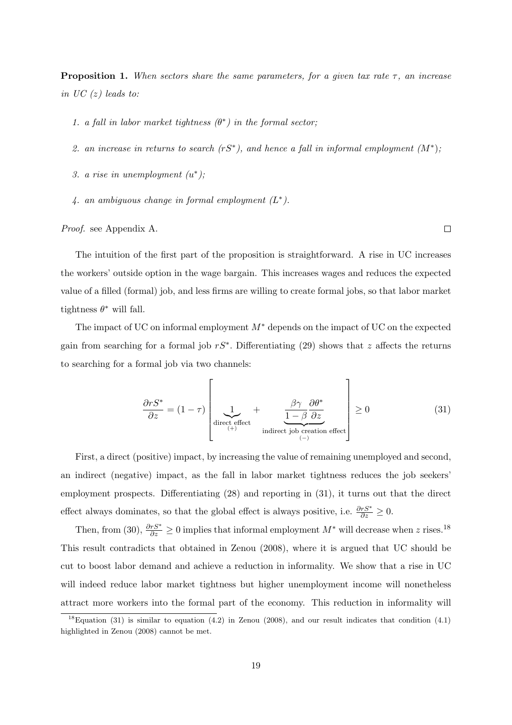**Proposition 1.** When sectors share the same parameters, for a given tax rate  $\tau$ , an increase in UC  $(z)$  leads to:

- 1. a fall in labor market tightness  $(\theta^*)$  in the formal sector;
- 2. an increase in returns to search  $(rS^*)$ , and hence a fall in informal employment  $(M^*)$ ;
- 3. a rise in unemployment  $(u^*);$
- 4. an ambiguous change in formal employment  $(L^*)$ .

Proof. see Appendix A.

The intuition of the first part of the proposition is straightforward. A rise in UC increases the workers' outside option in the wage bargain. This increases wages and reduces the expected value of a filled (formal) job, and less firms are willing to create formal jobs, so that labor market tightness  $\theta^*$  will fall.

The impact of UC on informal employment  $M^*$  depends on the impact of UC on the expected gain from searching for a formal job  $rS^*$ . Differentiating (29) shows that z affects the returns to searching for a formal job via two channels:

$$
\frac{\partial rS^*}{\partial z} = (1 - \tau) \left[ \underbrace{1}_{\text{direct effect}} + \underbrace{\frac{\beta \gamma}{1 - \beta} \frac{\partial \theta^*}{\partial z}}_{\text{indirect job creation effect}} \right] \ge 0 \tag{31}
$$

First, a direct (positive) impact, by increasing the value of remaining unemployed and second, an indirect (negative) impact, as the fall in labor market tightness reduces the job seekers' employment prospects. Differentiating (28) and reporting in (31), it turns out that the direct effect always dominates, so that the global effect is always positive, i.e.  $\frac{\partial rS^*}{\partial z} \geq 0$ .

Then, from (30),  $\frac{\partial rS^*}{\partial z} \ge 0$  implies that informal employment  $M^*$  will decrease when z rises.<sup>18</sup> This result contradicts that obtained in Zenou (2008), where it is argued that UC should be cut to boost labor demand and achieve a reduction in informality. We show that a rise in UC will indeed reduce labor market tightness but higher unemployment income will nonetheless attract more workers into the formal part of the economy. This reduction in informality will

 $\Box$ 

<sup>&</sup>lt;sup>18</sup>Equation (31) is similar to equation (4.2) in Zenou (2008), and our result indicates that condition (4.1) highlighted in Zenou (2008) cannot be met.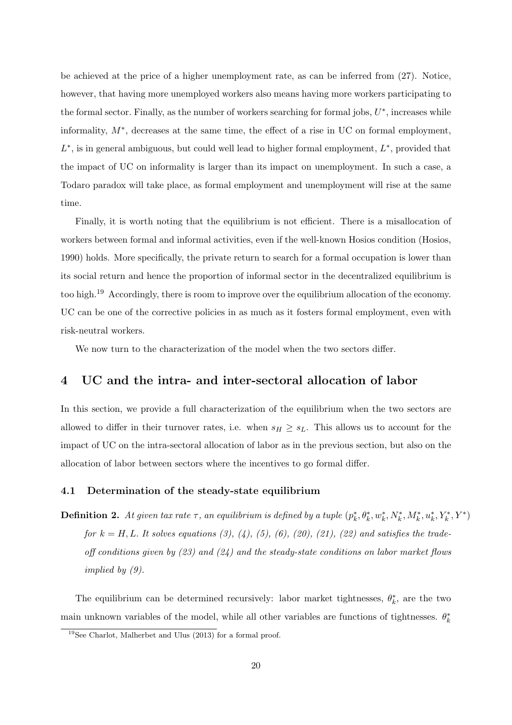be achieved at the price of a higher unemployment rate, as can be inferred from (27). Notice, however, that having more unemployed workers also means having more workers participating to the formal sector. Finally, as the number of workers searching for formal jobs,  $U^*$ , increases while informality,  $M^*$ , decreases at the same time, the effect of a rise in UC on formal employment,  $L^*$ , is in general ambiguous, but could well lead to higher formal employment,  $L^*$ , provided that the impact of UC on informality is larger than its impact on unemployment. In such a case, a Todaro paradox will take place, as formal employment and unemployment will rise at the same time.

Finally, it is worth noting that the equilibrium is not efficient. There is a misallocation of workers between formal and informal activities, even if the well-known Hosios condition (Hosios, 1990) holds. More specifically, the private return to search for a formal occupation is lower than its social return and hence the proportion of informal sector in the decentralized equilibrium is too high.<sup>19</sup> Accordingly, there is room to improve over the equilibrium allocation of the economy. UC can be one of the corrective policies in as much as it fosters formal employment, even with risk-neutral workers.

We now turn to the characterization of the model when the two sectors differ.

### 4 UC and the intra- and inter-sectoral allocation of labor

In this section, we provide a full characterization of the equilibrium when the two sectors are allowed to differ in their turnover rates, i.e. when  $s_H \geq s_L$ . This allows us to account for the impact of UC on the intra-sectoral allocation of labor as in the previous section, but also on the allocation of labor between sectors where the incentives to go formal differ.

### 4.1 Determination of the steady-state equilibrium

**Definition 2.** At given tax rate  $\tau$ , an equilibrium is defined by a tuple  $(p_k^*, \theta_k^*, w_k^*, N_k^*, M_k^*, u_k^*, Y_k^*, Y^*)$ for  $k = H, L$ . It solves equations (3), (4), (5), (6), (20), (21), (22) and satisfies the tradeoff conditions given by  $(23)$  and  $(24)$  and the steady-state conditions on labor market flows implied by (9).

The equilibrium can be determined recursively: labor market tightnesses,  $\theta_k^*$ , are the two main unknown variables of the model, while all other variables are functions of tightnesses.  $\theta_k^*$ 

<sup>19</sup>See Charlot, Malherbet and Ulus (2013) for a formal proof.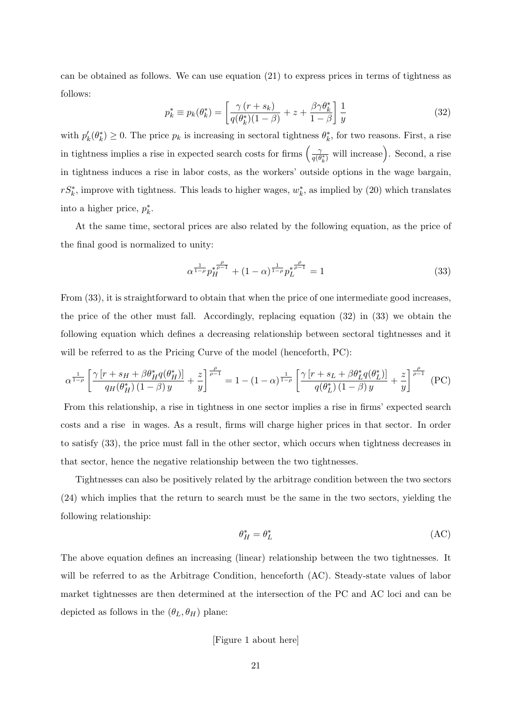can be obtained as follows. We can use equation  $(21)$  to express prices in terms of tightness as follows:  $\overline{a}$ 

$$
p_k^* \equiv p_k(\theta_k^*) = \left[\frac{\gamma (r+s_k)}{q(\theta_k^*)(1-\beta)} + z + \frac{\beta \gamma \theta_k^*}{1-\beta}\right] \frac{1}{y}
$$
(32)

with  $p'_k(\theta^*_k) \geq 0$ . The price  $p_k$  is increasing in sectoral tightness  $\theta^*_k$ , for two reasons. First, a rise in tightness implies a rise in expected search costs for firms  $\left(\frac{\gamma}{\sigma(\theta)}\right)$  $\frac{\gamma}{q(\theta_k^*)}$  will increase). Second, a rise in tightness induces a rise in labor costs, as the workers' outside options in the wage bargain,  $rS_k^*$ , improve with tightness. This leads to higher wages,  $w_k^*$ , as implied by (20) which translates into a higher price,  $p_k^*$ .

At the same time, sectoral prices are also related by the following equation, as the price of the final good is normalized to unity:

$$
\alpha^{\frac{1}{1-\rho}} p_H^{\ast \frac{\rho}{\rho-1}} + (1-\alpha)^{\frac{1}{1-\rho}} p_L^{\ast \frac{\rho}{\rho-1}} = 1 \tag{33}
$$

From  $(33)$ , it is straightforward to obtain that when the price of one intermediate good increases, the price of the other must fall. Accordingly, replacing equation (32) in (33) we obtain the following equation which defines a decreasing relationship between sectoral tightnesses and it will be referred to as the Pricing Curve of the model (henceforth, PC):

$$
\alpha^{\frac{1}{1-\rho}}\left[\frac{\gamma\left[r+s_H+\beta\theta_H^*(\theta_H^*)\right]}{q_H(\theta_H^*)(1-\beta)y}+\frac{z}{y}\right]^{\frac{\rho}{\rho-1}}=1-(1-\alpha)^{\frac{1}{1-\rho}}\left[\frac{\gamma\left[r+s_L+\beta\theta_L^*(\theta_L^*)\right]}{q(\theta_L^*)(1-\beta)y}+\frac{z}{y}\right]^{\frac{\rho}{\rho-1}}\right]
$$
(PC)

From this relationship, a rise in tightness in one sector implies a rise in firms' expected search costs and a rise in wages. As a result, firms will charge higher prices in that sector. In order to satisfy (33), the price must fall in the other sector, which occurs when tightness decreases in that sector, hence the negative relationship between the two tightnesses.

Tightnesses can also be positively related by the arbitrage condition between the two sectors (24) which implies that the return to search must be the same in the two sectors, yielding the following relationship:

$$
\theta_H^* = \theta_L^* \tag{AC}
$$

The above equation defines an increasing (linear) relationship between the two tightnesses. It will be referred to as the Arbitrage Condition, henceforth (AC). Steady-state values of labor market tightnesses are then determined at the intersection of the PC and AC loci and can be depicted as follows in the  $(\theta_L, \theta_H)$  plane:

[Figure 1 about here]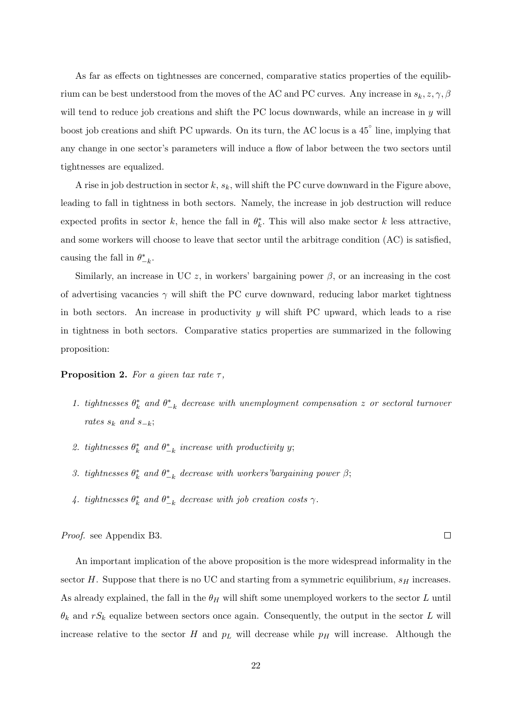As far as effects on tightnesses are concerned, comparative statics properties of the equilibrium can be best understood from the moves of the AC and PC curves. Any increase in  $s_k, z, \gamma, \beta$ will tend to reduce job creations and shift the PC locus downwards, while an increase in y will boost job creations and shift PC upwards. On its turn, the AC locus is a 45<sup>°</sup> line, implying that any change in one sector's parameters will induce a flow of labor between the two sectors until tightnesses are equalized.

A rise in job destruction in sector k,  $s_k$ , will shift the PC curve downward in the Figure above, leading to fall in tightness in both sectors. Namely, the increase in job destruction will reduce expected profits in sector k, hence the fall in  $\theta_k^*$ . This will also make sector k less attractive, and some workers will choose to leave that sector until the arbitrage condition (AC) is satisfied, causing the fall in  $\theta^*_{-k}$ .

Similarly, an increase in UC z, in workers' bargaining power  $\beta$ , or an increasing in the cost of advertising vacancies  $\gamma$  will shift the PC curve downward, reducing labor market tightness in both sectors. An increase in productivity  $y$  will shift PC upward, which leads to a rise in tightness in both sectors. Comparative statics properties are summarized in the following proposition:

### **Proposition 2.** For a given tax rate  $\tau$ ,

- 1. tightnesses  $\theta_k^*$  and  $\theta_{-k}^*$  decrease with unemployment compensation z or sectoral turnover rates  $s_k$  and  $s_{-k}$ ;
- 2. tightnesses  $\theta_k^*$  and  $\theta_{-k}^*$  increase with productivity y;
- 3. tightnesses  $\theta_k^*$  and  $\theta_{-k}^*$  decrease with workers' bargaining power  $\beta$ ;
- 4. tightnesses  $\theta_k^*$  and  $\theta_{-k}^*$  decrease with job creation costs  $\gamma$ .

Proof. see Appendix B3.

An important implication of the above proposition is the more widespread informality in the sector  $H$ . Suppose that there is no UC and starting from a symmetric equilibrium,  $s_H$  increases. As already explained, the fall in the  $\theta_H$  will shift some unemployed workers to the sector L until  $\theta_k$  and  $rS_k$  equalize between sectors once again. Consequently, the output in the sector L will increase relative to the sector H and  $p<sub>L</sub>$  will decrease while  $p<sub>H</sub>$  will increase. Although the

 $\Box$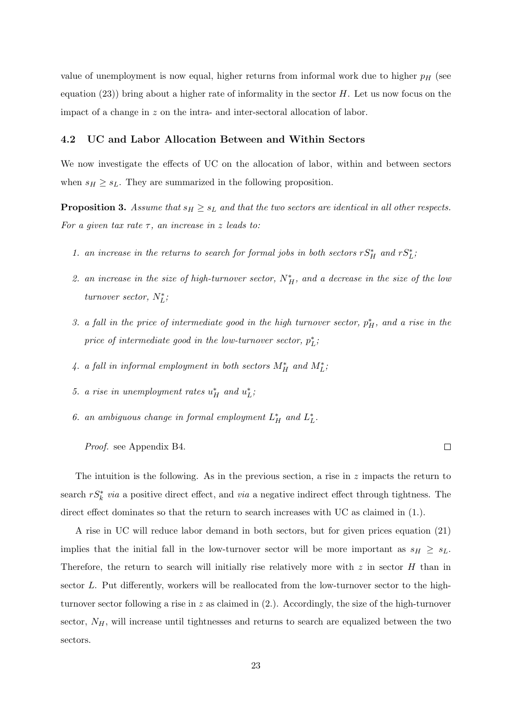value of unemployment is now equal, higher returns from informal work due to higher  $p_H$  (see equation  $(23)$ ) bring about a higher rate of informality in the sector H. Let us now focus on the impact of a change in z on the intra- and inter-sectoral allocation of labor.

#### 4.2 UC and Labor Allocation Between and Within Sectors

We now investigate the effects of UC on the allocation of labor, within and between sectors when  $s_H \geq s_L$ . They are summarized in the following proposition.

**Proposition 3.** Assume that  $s_H \geq s_L$  and that the two sectors are identical in all other respects. For a given tax rate  $\tau$ , an increase in z leads to:

- 1. an increase in the returns to search for formal jobs in both sectors  $rS_H^*$  and  $rS_L^*$ ;
- 2. an increase in the size of high-turnover sector,  $N_H^*$ , and a decrease in the size of the low turnover sector,  $N_L^*$ ;
- 3. a fall in the price of intermediate good in the high turnover sector,  $p_H^*$ , and a rise in the price of intermediate good in the low-turnover sector,  $p_L^*$ ;
- 4. a fall in informal employment in both sectors  $M_H^*$  and  $M_L^*$ ;
- 5. a rise in unemployment rates  $u_H^*$  and  $u_L^*$ ;
- 6. an ambiguous change in formal employment  $L_H^*$  and  $L_L^*$ .

Proof. see Appendix B4.

The intuition is the following. As in the previous section, a rise in  $z$  impacts the return to search  $rS_k^*$  via a positive direct effect, and via a negative indirect effect through tightness. The direct effect dominates so that the return to search increases with UC as claimed in  $(1.)$ .

 $\Box$ 

A rise in UC will reduce labor demand in both sectors, but for given prices equation (21) implies that the initial fall in the low-turnover sector will be more important as  $s_H \geq s_L$ . Therefore, the return to search will initially rise relatively more with  $z$  in sector  $H$  than in sector L. Put differently, workers will be reallocated from the low-turnover sector to the highturnover sector following a rise in z as claimed in  $(2)$ . Accordingly, the size of the high-turnover sector,  $N_H$ , will increase until tightnesses and returns to search are equalized between the two sectors.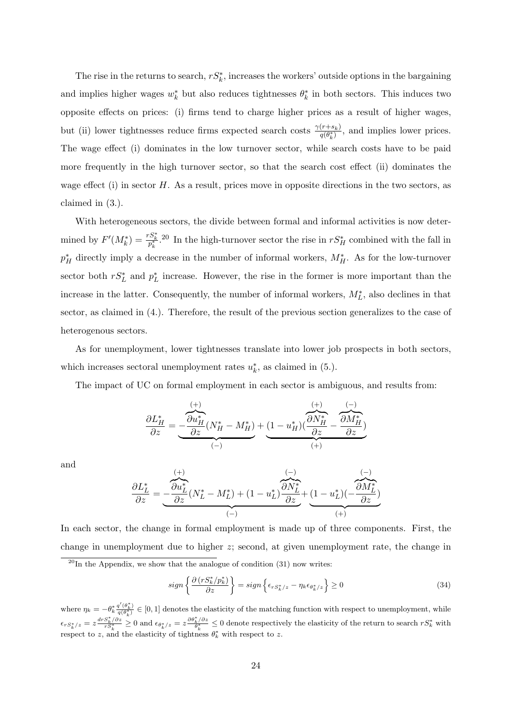The rise in the returns to search,  $rS_k^*$ , increases the workers' outside options in the bargaining and implies higher wages  $w_k^*$  but also reduces tightnesses  $\theta_k^*$  in both sectors. This induces two opposite effects on prices: (i) firms tend to charge higher prices as a result of higher wages, but (ii) lower tightnesses reduce firms expected search costs  $\frac{\gamma(r+s_k)}{q(\theta^*_k)}$ , and implies lower prices. The wage effect (i) dominates in the low turnover sector, while search costs have to be paid more frequently in the high turnover sector, so that the search cost effect (ii) dominates the wage effect (i) in sector  $H$ . As a result, prices move in opposite directions in the two sectors, as claimed in (3.).

With heterogeneous sectors, the divide between formal and informal activities is now determined by  $F'(M_k^*) = \frac{rS_k^*}{p_k^*}$ .<sup>20</sup> In the high-turnover sector the rise in  $rS_H^*$  combined with the fall in  $p_H^*$  directly imply a decrease in the number of informal workers,  $M_H^*$ . As for the low-turnover sector both  $rS_L^*$  and  $p_L^*$  increase. However, the rise in the former is more important than the increase in the latter. Consequently, the number of informal workers,  $M_L^*$ , also declines in that sector, as claimed in (4.). Therefore, the result of the previous section generalizes to the case of heterogenous sectors.

As for unemployment, lower tightnesses translate into lower job prospects in both sectors, which increases sectoral unemployment rates  $u_k^*$ , as claimed in (5.).

The impact of UC on formal employment in each sector is ambiguous, and results from:

$$
\frac{\partial L_H^*}{\partial z} = \underbrace{-\overbrace{\frac{\partial u_H^*}{\partial z}}^{(+)} (N_H^*-M_H^*)}_{(-)} + \underbrace{(1-u_H^*) (\overbrace{\frac{\partial N_H^*}{\partial z}}^{(+)} - \overbrace{\frac{\partial M_H^*}{\partial z}}^{(-)} )}_{(+)}
$$

and

$$
\frac{\partial L_L^*}{\partial z} = -\frac{\overbrace{\partial u_L^*}^{(+)}}{\partial z} (N_L^* - M_L^*) + (1 - u_L^*) \overbrace{\partial N_L^*}^{(-)} + \underbrace{(1 - u_L^*) (-\overbrace{\partial M_L^*}^{(-)} )}{(+)}
$$

In each sector, the change in formal employment is made up of three components. First, the change in unemployment due to higher z; second, at given unemployment rate, the change in

$$
sign\left\{\frac{\partial (rS_k^*/p_k^*)}{\partial z}\right\} = sign\left\{\epsilon_{rS_k^*/z} - \eta_k \epsilon_{\theta_k^*/z}\right\} \ge 0\tag{34}
$$

where  $\eta_k = -\theta_k^* \frac{q'(\theta_k^*)}{q(\theta_k^*)} \in [0,1]$  denotes the elasticity of the matching function with respect to unemployment, while  $\epsilon_{rS_k^*/z} = z \frac{drS_k^*/\partial z}{rS_k^*} \ge 0$  and  $\epsilon_{\theta_k^*/z} = z \frac{\partial \theta_k^*/\partial z}{\theta_k^*} \le 0$  denote respectively the elasticity of the return to search  $rS_k^*$  with respect to z, and the elasticity of tightness  $\theta_k^*$  with respect to z.

 $^{20}$ In the Appendix, we show that the analogue of condition (31) now writes: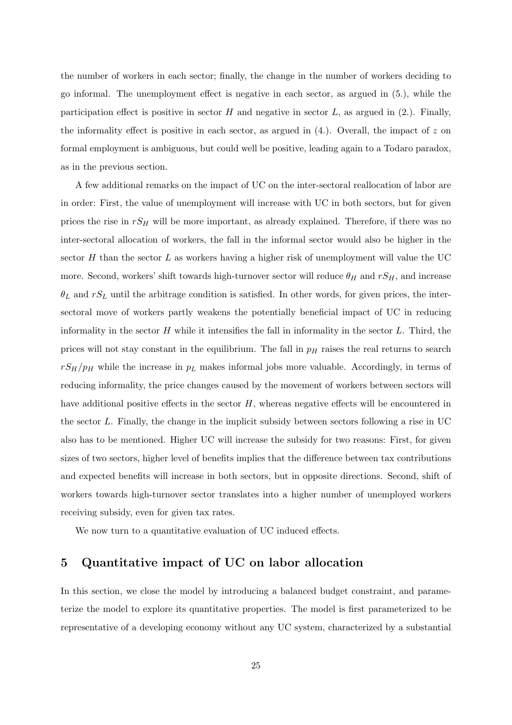the number of workers in each sector; finally, the change in the number of workers deciding to go informal. The unemployment effect is negative in each sector, as argued in (5.), while the participation effect is positive in sector H and negative in sector  $L$ , as argued in  $(2)$ . Finally, the informality effect is positive in each sector, as argued in  $(4)$ . Overall, the impact of z on formal employment is ambiguous, but could well be positive, leading again to a Todaro paradox, as in the previous section.

A few additional remarks on the impact of UC on the inter-sectoral reallocation of labor are in order: First, the value of unemployment will increase with UC in both sectors, but for given prices the rise in  $rS_H$  will be more important, as already explained. Therefore, if there was no inter-sectoral allocation of workers, the fall in the informal sector would also be higher in the sector  $H$  than the sector  $L$  as workers having a higher risk of unemployment will value the UC more. Second, workers' shift towards high-turnover sector will reduce  $\theta_H$  and  $rS_H$ , and increase  $\theta_L$  and  $rS_L$  until the arbitrage condition is satisfied. In other words, for given prices, the intersectoral move of workers partly weakens the potentially beneficial impact of UC in reducing informality in the sector  $H$  while it intensifies the fall in informality in the sector  $L$ . Third, the prices will not stay constant in the equilibrium. The fall in  $p<sub>H</sub>$  raises the real returns to search  $rS_H/p_H$  while the increase in  $p_L$  makes informal jobs more valuable. Accordingly, in terms of reducing informality, the price changes caused by the movement of workers between sectors will have additional positive effects in the sector  $H$ , whereas negative effects will be encountered in the sector  $L$ . Finally, the change in the implicit subsidy between sectors following a rise in UC also has to be mentioned. Higher UC will increase the subsidy for two reasons: First, for given sizes of two sectors, higher level of benefits implies that the difference between tax contributions and expected benefits will increase in both sectors, but in opposite directions. Second, shift of workers towards high-turnover sector translates into a higher number of unemployed workers receiving subsidy, even for given tax rates.

We now turn to a quantitative evaluation of UC induced effects.

### 5 Quantitative impact of UC on labor allocation

In this section, we close the model by introducing a balanced budget constraint, and parameterize the model to explore its quantitative properties. The model is first parameterized to be representative of a developing economy without any UC system, characterized by a substantial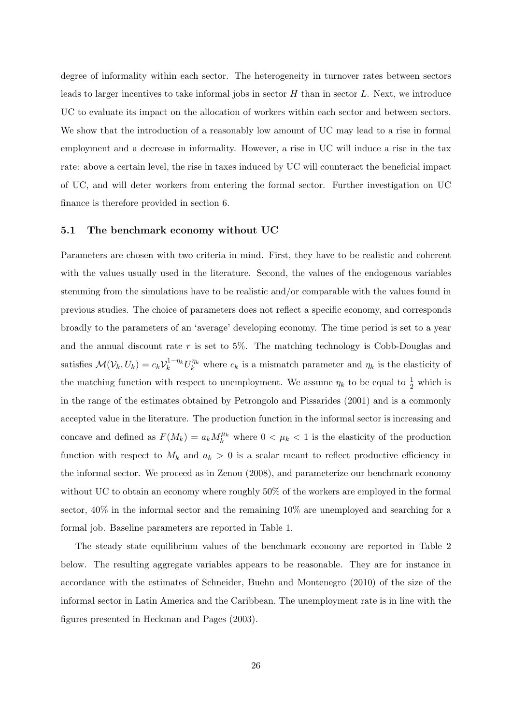degree of informality within each sector. The heterogeneity in turnover rates between sectors leads to larger incentives to take informal jobs in sector  $H$  than in sector  $L$ . Next, we introduce UC to evaluate its impact on the allocation of workers within each sector and between sectors. We show that the introduction of a reasonably low amount of UC may lead to a rise in formal employment and a decrease in informality. However, a rise in UC will induce a rise in the tax rate: above a certain level, the rise in taxes induced by UC will counteract the beneficial impact of UC, and will deter workers from entering the formal sector. Further investigation on UC finance is therefore provided in section 6.

#### 5.1 The benchmark economy without UC

Parameters are chosen with two criteria in mind. First, they have to be realistic and coherent with the values usually used in the literature. Second, the values of the endogenous variables stemming from the simulations have to be realistic and/or comparable with the values found in previous studies. The choice of parameters does not reflect a specific economy, and corresponds broadly to the parameters of an 'average' developing economy. The time period is set to a year and the annual discount rate  $r$  is set to 5%. The matching technology is Cobb-Douglas and satisfies  $\mathcal{M}(\mathcal{V}_k, U_k) = c_k \mathcal{V}_k^{1-\eta_k} U_k^{\eta_k}$  where  $c_k$  is a mismatch parameter and  $\eta_k$  is the elasticity of the matching function with respect to unemployment. We assume  $\eta_k$  to be equal to  $\frac{1}{2}$  which is in the range of the estimates obtained by Petrongolo and Pissarides (2001) and is a commonly accepted value in the literature. The production function in the informal sector is increasing and concave and defined as  $F(M_k) = a_k M_k^{\mu_k}$  where  $0 < \mu_k < 1$  is the elasticity of the production function with respect to  $M_k$  and  $a_k > 0$  is a scalar meant to reflect productive efficiency in the informal sector. We proceed as in Zenou (2008), and parameterize our benchmark economy without UC to obtain an economy where roughly 50% of the workers are employed in the formal sector, 40% in the informal sector and the remaining 10% are unemployed and searching for a formal job. Baseline parameters are reported in Table 1.

The steady state equilibrium values of the benchmark economy are reported in Table 2 below. The resulting aggregate variables appears to be reasonable. They are for instance in accordance with the estimates of Schneider, Buehn and Montenegro (2010) of the size of the informal sector in Latin America and the Caribbean. The unemployment rate is in line with the figures presented in Heckman and Pages (2003).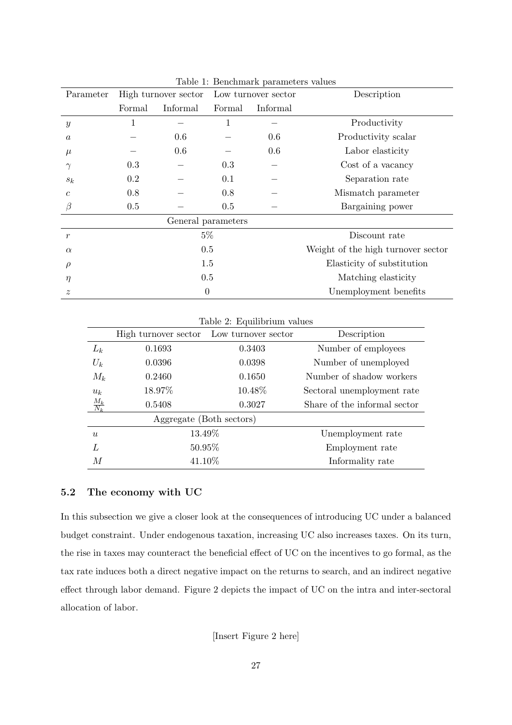| Parameter        | High turnover sector Low turnover sector |          |              |               | Description                        |  |
|------------------|------------------------------------------|----------|--------------|---------------|------------------------------------|--|
|                  | Formal                                   | Informal | Formal       | Informal      |                                    |  |
| $\boldsymbol{y}$ |                                          |          | $\mathbf{1}$ |               | Productivity                       |  |
| $\boldsymbol{a}$ |                                          | 0.6      |              | 0.6           | Productivity scalar                |  |
| $\mu$            |                                          | 0.6      |              | 0.6           | Labor elasticity                   |  |
| $\gamma$         | 0.3                                      |          | 0.3          |               | Cost of a vacancy                  |  |
| $s_k$            | $0.2\,$                                  |          | 0.1          |               | Separation rate                    |  |
| $\boldsymbol{c}$ | 0.8                                      |          | 0.8          |               | Mismatch parameter                 |  |
| $\beta$          | 0.5                                      |          | 0.5          |               | Bargaining power                   |  |
|                  | General parameters                       |          |              |               |                                    |  |
| $\boldsymbol{r}$ | $5\%$                                    |          |              | Discount rate |                                    |  |
| $\alpha$         | 0.5                                      |          |              |               | Weight of the high turnover sector |  |
| $\rho$           | 1.5                                      |          |              |               | Elasticity of substitution         |  |
| $\eta$           | 0.5                                      |          |              |               | Matching elasticity                |  |
| $\boldsymbol{z}$ | $\boldsymbol{0}$                         |          |              |               | Unemployment benefits              |  |

Table 1: Benchmark parameters values

| Table 2: Equilibrium values |  |  |
|-----------------------------|--|--|
|-----------------------------|--|--|

|                   | High turnover sector Low turnover sector |        | Description                  |  |
|-------------------|------------------------------------------|--------|------------------------------|--|
| $L_k$             | 0.1693                                   | 0.3403 | Number of employees          |  |
| $U_k$             | 0.0396                                   | 0.0398 | Number of unemployed         |  |
| $M_k$             | 0.2460                                   | 0.1650 | Number of shadow workers     |  |
| $u_k$             | 18.97%                                   | 10.48% | Sectoral unemployment rate   |  |
| $\frac{M_k}{N_k}$ | 0.5408                                   | 0.3027 | Share of the informal sector |  |
|                   | Aggregate (Both sectors)                 |        |                              |  |
| $\mathfrak{u}$    | 13.49%                                   |        | Unemployment rate            |  |
| L                 | 50.95%                                   |        | Employment rate              |  |
| М                 | 41.10%                                   |        | Informality rate             |  |

### 5.2 The economy with UC

In this subsection we give a closer look at the consequences of introducing UC under a balanced budget constraint. Under endogenous taxation, increasing UC also increases taxes. On its turn, the rise in taxes may counteract the beneficial effect of UC on the incentives to go formal, as the tax rate induces both a direct negative impact on the returns to search, and an indirect negative effect through labor demand. Figure 2 depicts the impact of UC on the intra and inter-sectoral allocation of labor.

[Insert Figure 2 here]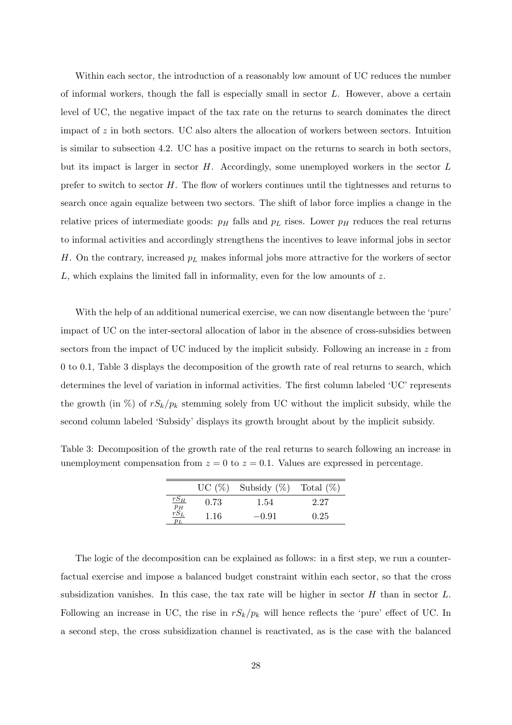Within each sector, the introduction of a reasonably low amount of UC reduces the number of informal workers, though the fall is especially small in sector  $L$ . However, above a certain level of UC, the negative impact of the tax rate on the returns to search dominates the direct impact of  $z$  in both sectors. UC also alters the allocation of workers between sectors. Intuition is similar to subsection 4.2. UC has a positive impact on the returns to search in both sectors, but its impact is larger in sector  $H$ . Accordingly, some unemployed workers in the sector  $L$ prefer to switch to sector  $H$ . The flow of workers continues until the tightnesses and returns to search once again equalize between two sectors. The shift of labor force implies a change in the relative prices of intermediate goods:  $p_H$  falls and  $p_L$  rises. Lower  $p_H$  reduces the real returns to informal activities and accordingly strengthens the incentives to leave informal jobs in sector H. On the contrary, increased  $p<sub>L</sub>$  makes informal jobs more attractive for the workers of sector L, which explains the limited fall in informality, even for the low amounts of  $z$ .

With the help of an additional numerical exercise, we can now disentangle between the 'pure' impact of UC on the inter-sectoral allocation of labor in the absence of cross-subsidies between sectors from the impact of UC induced by the implicit subsidy. Following an increase in  $z$  from 0 to 0.1, Table 3 displays the decomposition of the growth rate of real returns to search, which determines the level of variation in informal activities. The first column labeled 'UC' represents the growth (in  $\%$ ) of  $rS_k/p_k$  stemming solely from UC without the implicit subsidy, while the second column labeled 'Subsidy' displays its growth brought about by the implicit subsidy.

Table 3: Decomposition of the growth rate of the real returns to search following an increase in unemployment compensation from  $z = 0$  to  $z = 0.1$ . Values are expressed in percentage.

|                            | UC(%) | Subsidy $(\%)$ | Total $(\%)$ |
|----------------------------|-------|----------------|--------------|
| $rS_H$<br>$\mathfrak{p}_H$ | 0.73  | 1.54           | 2.27         |
| $rS_L$<br>$p_L$            | 1.16  | $-0.91$        | 0.25         |

The logic of the decomposition can be explained as follows: in a first step, we run a counterfactual exercise and impose a balanced budget constraint within each sector, so that the cross subsidization vanishes. In this case, the tax rate will be higher in sector  $H$  than in sector  $L$ . Following an increase in UC, the rise in  $rS_k/p_k$  will hence reflects the 'pure' effect of UC. In a second step, the cross subsidization channel is reactivated, as is the case with the balanced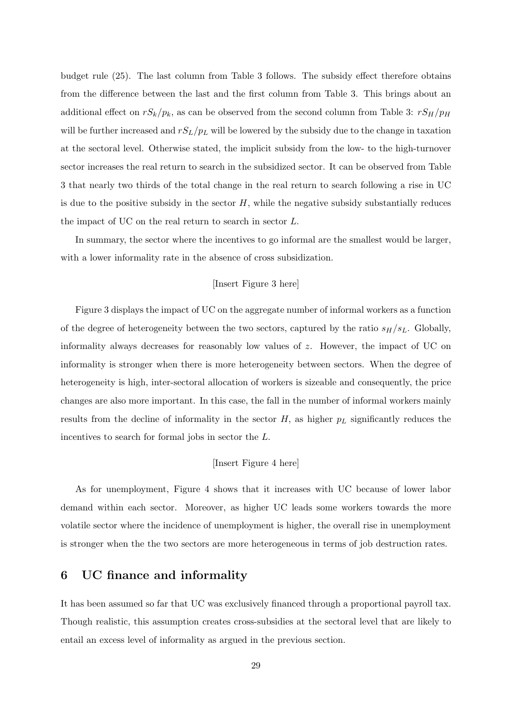budget rule (25). The last column from Table 3 follows. The subsidy effect therefore obtains from the difference between the last and the first column from Table 3. This brings about an additional effect on  $rS_k/p_k$ , as can be observed from the second column from Table 3:  $rS_H/p_H$ will be further increased and  $rS_L/p_L$  will be lowered by the subsidy due to the change in taxation at the sectoral level. Otherwise stated, the implicit subsidy from the low- to the high-turnover sector increases the real return to search in the subsidized sector. It can be observed from Table 3 that nearly two thirds of the total change in the real return to search following a rise in UC is due to the positive subsidy in the sector  $H$ , while the negative subsidy substantially reduces the impact of UC on the real return to search in sector L.

In summary, the sector where the incentives to go informal are the smallest would be larger, with a lower informality rate in the absence of cross subsidization.

### [Insert Figure 3 here]

Figure 3 displays the impact of UC on the aggregate number of informal workers as a function of the degree of heterogeneity between the two sectors, captured by the ratio  $s_H/s_L$ . Globally, informality always decreases for reasonably low values of z. However, the impact of UC on informality is stronger when there is more heterogeneity between sectors. When the degree of heterogeneity is high, inter-sectoral allocation of workers is sizeable and consequently, the price changes are also more important. In this case, the fall in the number of informal workers mainly results from the decline of informality in the sector  $H$ , as higher  $p<sub>L</sub>$  significantly reduces the incentives to search for formal jobs in sector the L.

### [Insert Figure 4 here]

As for unemployment, Figure 4 shows that it increases with UC because of lower labor demand within each sector. Moreover, as higher UC leads some workers towards the more volatile sector where the incidence of unemployment is higher, the overall rise in unemployment is stronger when the the two sectors are more heterogeneous in terms of job destruction rates.

### 6 UC finance and informality

It has been assumed so far that UC was exclusively financed through a proportional payroll tax. Though realistic, this assumption creates cross-subsidies at the sectoral level that are likely to entail an excess level of informality as argued in the previous section.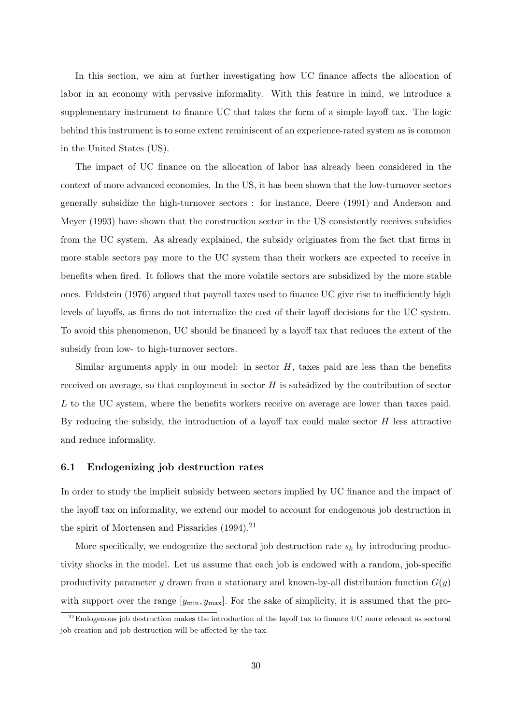In this section, we aim at further investigating how UC finance affects the allocation of labor in an economy with pervasive informality. With this feature in mind, we introduce a supplementary instrument to finance UC that takes the form of a simple layoff tax. The logic behind this instrument is to some extent reminiscent of an experience-rated system as is common in the United States (US).

The impact of UC finance on the allocation of labor has already been considered in the context of more advanced economies. In the US, it has been shown that the low-turnover sectors generally subsidize the high-turnover sectors : for instance, Deere (1991) and Anderson and Meyer (1993) have shown that the construction sector in the US consistently receives subsidies from the UC system. As already explained, the subsidy originates from the fact that firms in more stable sectors pay more to the UC system than their workers are expected to receive in benefits when fired. It follows that the more volatile sectors are subsidized by the more stable ones. Feldstein (1976) argued that payroll taxes used to finance UC give rise to inefficiently high levels of layoffs, as firms do not internalize the cost of their layoff decisions for the UC system. To avoid this phenomenon, UC should be financed by a layoff tax that reduces the extent of the subsidy from low- to high-turnover sectors.

Similar arguments apply in our model: in sector  $H$ , taxes paid are less than the benefits received on average, so that employment in sector  $H$  is subsidized by the contribution of sector L to the UC system, where the benefits workers receive on average are lower than taxes paid. By reducing the subsidy, the introduction of a layoff tax could make sector  $H$  less attractive and reduce informality.

#### 6.1 Endogenizing job destruction rates

In order to study the implicit subsidy between sectors implied by UC finance and the impact of the layoff tax on informality, we extend our model to account for endogenous job destruction in the spirit of Mortensen and Pissarides  $(1994).^{21}$ 

More specifically, we endogenize the sectoral job destruction rate  $s_k$  by introducing productivity shocks in the model. Let us assume that each job is endowed with a random, job-specific productivity parameter y drawn from a stationary and known-by-all distribution function  $G(y)$ with support over the range  $[y_{\min}, y_{\max}]$ . For the sake of simplicity, it is assumed that the pro-

<sup>&</sup>lt;sup>21</sup>Endogenous job destruction makes the introduction of the layoff tax to finance UC more relevant as sectoral job creation and job destruction will be affected by the tax.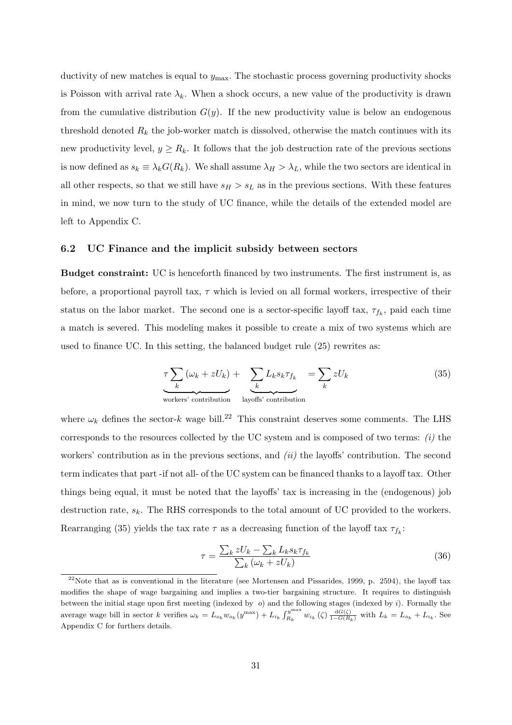ductivity of new matches is equal to  $y_{\text{max}}$ . The stochastic process governing productivity shocks is Poisson with arrival rate  $\lambda_k$ . When a shock occurs, a new value of the productivity is drawn from the cumulative distribution  $G(y)$ . If the new productivity value is below an endogenous threshold denoted  $R_k$  the job-worker match is dissolved, otherwise the match continues with its new productivity level,  $y \geq R_k$ . It follows that the job destruction rate of the previous sections is now defined as  $s_k \equiv \lambda_k G(R_k)$ . We shall assume  $\lambda_H > \lambda_L$ , while the two sectors are identical in all other respects, so that we still have  $s_H > s_L$  as in the previous sections. With these features in mind, we now turn to the study of UC finance, while the details of the extended model are left to Appendix C.

### 6.2 UC Finance and the implicit subsidy between sectors

Budget constraint: UC is henceforth financed by two instruments. The first instrument is, as before, a proportional payroll tax,  $\tau$  which is levied on all formal workers, irrespective of their status on the labor market. The second one is a sector-specific layoff tax,  $\tau_{f_k}$ , paid each time a match is severed. This modeling makes it possible to create a mix of two systems which are used to finance UC. In this setting, the balanced budget rule (25) rewrites as:

$$
\underbrace{\tau \sum_{k} (\omega_{k} + zU_{k})}_{\text{workers' contribution}} + \underbrace{\sum_{k} L_{k} s_{k} \tau_{f_{k}}}_{\text{layers' contribution}} = \sum_{k} zU_{k}
$$
\n(35)

where  $\omega_k$  defines the sector-k wage bill.<sup>22</sup> This constraint deserves some comments. The LHS corresponds to the resources collected by the UC system and is composed of two terms:  $(i)$  the workers' contribution as in the previous sections, and  $(ii)$  the layoffs' contribution. The second term indicates that part -if not all- of the UC system can be financed thanks to a layoff tax. Other things being equal, it must be noted that the layoffs' tax is increasing in the (endogenous) job destruction rate,  $s_k$ . The RHS corresponds to the total amount of UC provided to the workers. Rearranging (35) yields the tax rate  $\tau$  as a decreasing function of the layoff tax  $\tau_{f_k}$ :

$$
\tau = \frac{\sum_{k} z U_{k} - \sum_{k} L_{k} s_{k} \tau_{f_{k}}}{\sum_{k} (\omega_{k} + z U_{k})}
$$
(36)

 $22$ Note that as is conventional in the literature (see Mortensen and Pissarides, 1999, p. 2594), the layoff tax modifies the shape of wage bargaining and implies a two-tier bargaining structure. It requires to distinguish between the initial stage upon first meeting (indexed by  $o$ ) and the following stages (indexed by i). Formally the average wage bill in sector k verifies  $\omega_k = L_{o_k} w_{o_k}(y^{\max}) + L_{i_k} \int_{R_{i_k}}^{y^{\max}}$  $E_{R_k}^{y^{\text{max}}} w_{i_k}(\zeta) \frac{\mathrm{d}G(\zeta)}{1 - G(R_k)}$  with  $L_k = L_{o_k} + L_{i_k}$ . See Appendix C for furthers details.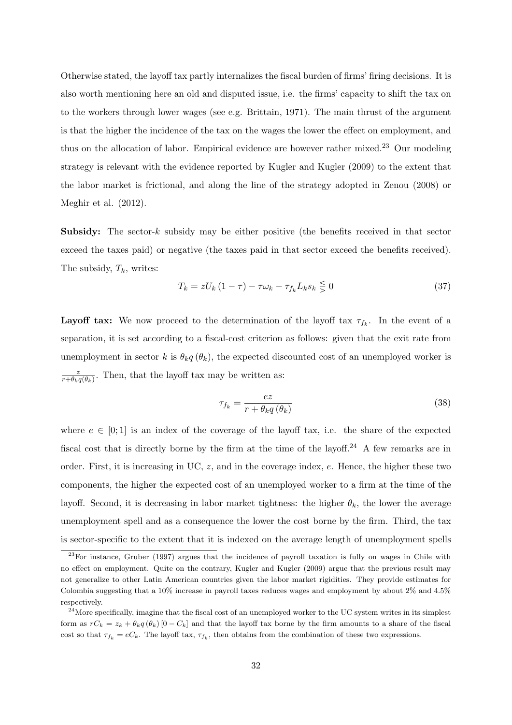Otherwise stated, the layoff tax partly internalizes the fiscal burden of firms' firing decisions. It is also worth mentioning here an old and disputed issue, i.e. the firms' capacity to shift the tax on to the workers through lower wages (see e.g. Brittain, 1971). The main thrust of the argument is that the higher the incidence of the tax on the wages the lower the effect on employment, and thus on the allocation of labor. Empirical evidence are however rather mixed.<sup>23</sup> Our modeling strategy is relevant with the evidence reported by Kugler and Kugler (2009) to the extent that the labor market is frictional, and along the line of the strategy adopted in Zenou (2008) or Meghir et al. (2012).

Subsidy: The sector-k subsidy may be either positive (the benefits received in that sector exceed the taxes paid) or negative (the taxes paid in that sector exceed the benefits received). The subsidy,  $T_k$ , writes:

$$
T_k = zU_k(1-\tau) - \tau \omega_k - \tau_{f_k} L_k s_k \leq 0 \tag{37}
$$

**Layoff tax:** We now proceed to the determination of the layoff tax  $\tau_{f_k}$ . In the event of a separation, it is set according to a fiscal-cost criterion as follows: given that the exit rate from unemployment in sector k is  $\theta_k q(\theta_k)$ , the expected discounted cost of an unemployed worker is z  $\frac{z}{r+\theta_kq(\theta_k)}$ . Then, that the layoff tax may be written as:

$$
\tau_{f_k} = \frac{ez}{r + \theta_k q(\theta_k)}\tag{38}
$$

where  $e \in [0, 1]$  is an index of the coverage of the layoff tax, i.e. the share of the expected fiscal cost that is directly borne by the firm at the time of the layoff.<sup>24</sup> A few remarks are in order. First, it is increasing in UC, z, and in the coverage index, e. Hence, the higher these two components, the higher the expected cost of an unemployed worker to a firm at the time of the layoff. Second, it is decreasing in labor market tightness: the higher  $\theta_k$ , the lower the average unemployment spell and as a consequence the lower the cost borne by the firm. Third, the tax is sector-specific to the extent that it is indexed on the average length of unemployment spells

<sup>&</sup>lt;sup>23</sup>For instance, Gruber (1997) argues that the incidence of payroll taxation is fully on wages in Chile with no effect on employment. Quite on the contrary, Kugler and Kugler (2009) argue that the previous result may not generalize to other Latin American countries given the labor market rigidities. They provide estimates for Colombia suggesting that a 10% increase in payroll taxes reduces wages and employment by about 2% and 4.5% respectively.

 $^{24}$ More specifically, imagine that the fiscal cost of an unemployed worker to the UC system writes in its simplest form as  $rC_k = z_k + \theta_k q(\theta_k) [0 - C_k]$  and that the layoff tax borne by the firm amounts to a share of the fiscal cost so that  $\tau_{f_k} = eC_k$ . The layoff tax,  $\tau_{f_k}$ , then obtains from the combination of these two expressions.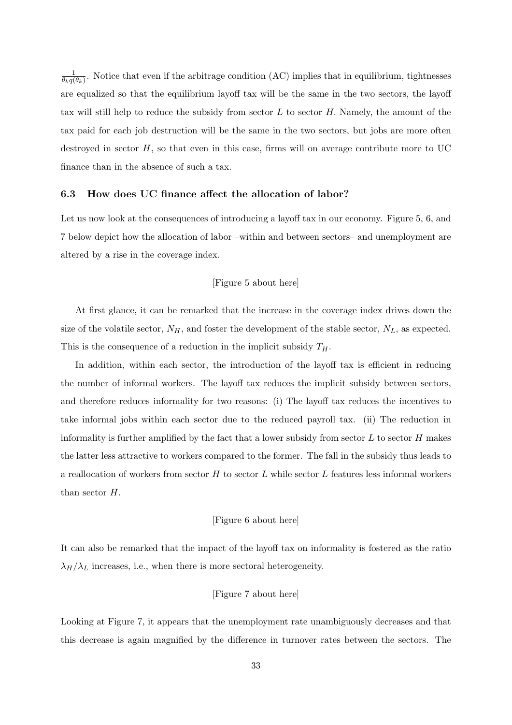1  $\frac{1}{\theta_k q(\theta_k)}$ . Notice that even if the arbitrage condition (AC) implies that in equilibrium, tightnesses are equalized so that the equilibrium layoff tax will be the same in the two sectors, the layoff tax will still help to reduce the subsidy from sector  $L$  to sector  $H$ . Namely, the amount of the tax paid for each job destruction will be the same in the two sectors, but jobs are more often destroyed in sector H, so that even in this case, firms will on average contribute more to UC finance than in the absence of such a tax.

#### 6.3 How does UC finance affect the allocation of labor?

Let us now look at the consequences of introducing a layoff tax in our economy. Figure 5, 6, and 7 below depict how the allocation of labor –within and between sectors– and unemployment are altered by a rise in the coverage index.

### [Figure 5 about here]

At first glance, it can be remarked that the increase in the coverage index drives down the size of the volatile sector,  $N_H$ , and foster the development of the stable sector,  $N_L$ , as expected. This is the consequence of a reduction in the implicit subsidy  $T_H$ .

In addition, within each sector, the introduction of the layoff tax is efficient in reducing the number of informal workers. The layoff tax reduces the implicit subsidy between sectors, and therefore reduces informality for two reasons: (i) The layoff tax reduces the incentives to take informal jobs within each sector due to the reduced payroll tax. (ii) The reduction in informality is further amplified by the fact that a lower subsidy from sector  $L$  to sector  $H$  makes the latter less attractive to workers compared to the former. The fall in the subsidy thus leads to a reallocation of workers from sector  $H$  to sector  $L$  while sector  $L$  features less informal workers than sector H.

#### [Figure 6 about here]

It can also be remarked that the impact of the layoff tax on informality is fostered as the ratio  $\lambda_H/\lambda_L$  increases, i.e., when there is more sectoral heterogeneity.

### [Figure 7 about here]

Looking at Figure 7, it appears that the unemployment rate unambiguously decreases and that this decrease is again magnified by the difference in turnover rates between the sectors. The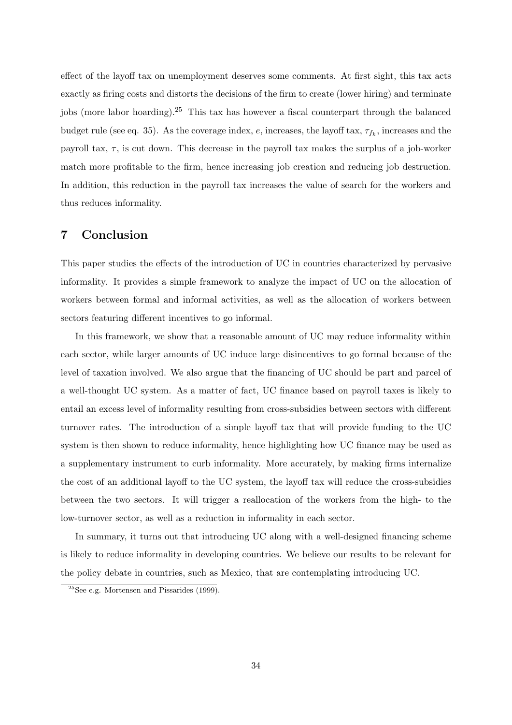effect of the layoff tax on unemployment deserves some comments. At first sight, this tax acts exactly as firing costs and distorts the decisions of the firm to create (lower hiring) and terminate jobs (more labor hoarding).<sup>25</sup> This tax has however a fiscal counterpart through the balanced budget rule (see eq. 35). As the coverage index, e, increases, the layoff tax,  $\tau_{f_k}$ , increases and the payroll tax,  $\tau$ , is cut down. This decrease in the payroll tax makes the surplus of a job-worker match more profitable to the firm, hence increasing job creation and reducing job destruction. In addition, this reduction in the payroll tax increases the value of search for the workers and thus reduces informality.

### 7 Conclusion

This paper studies the effects of the introduction of UC in countries characterized by pervasive informality. It provides a simple framework to analyze the impact of UC on the allocation of workers between formal and informal activities, as well as the allocation of workers between sectors featuring different incentives to go informal.

In this framework, we show that a reasonable amount of UC may reduce informality within each sector, while larger amounts of UC induce large disincentives to go formal because of the level of taxation involved. We also argue that the financing of UC should be part and parcel of a well-thought UC system. As a matter of fact, UC finance based on payroll taxes is likely to entail an excess level of informality resulting from cross-subsidies between sectors with different turnover rates. The introduction of a simple layoff tax that will provide funding to the UC system is then shown to reduce informality, hence highlighting how UC finance may be used as a supplementary instrument to curb informality. More accurately, by making firms internalize the cost of an additional layoff to the UC system, the layoff tax will reduce the cross-subsidies between the two sectors. It will trigger a reallocation of the workers from the high- to the low-turnover sector, as well as a reduction in informality in each sector.

In summary, it turns out that introducing UC along with a well-designed financing scheme is likely to reduce informality in developing countries. We believe our results to be relevant for the policy debate in countries, such as Mexico, that are contemplating introducing UC.

<sup>&</sup>lt;sup>25</sup>See e.g. Mortensen and Pissarides  $(1999)$ .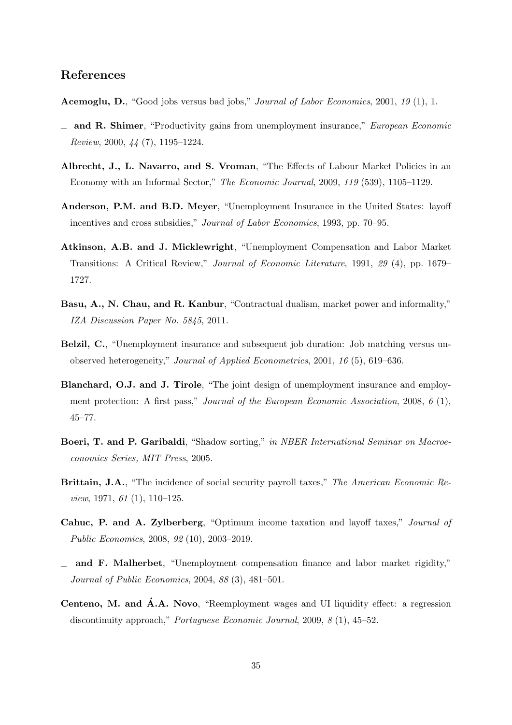### References

Acemoglu, D., "Good jobs versus bad jobs," Journal of Labor Economics, 2001, 19 (1), 1.

- $\Box$  and R. Shimer, "Productivity gains from unemployment insurance," *European Economic* Review, 2000, 44 (7), 1195–1224.
- Albrecht, J., L. Navarro, and S. Vroman, "The Effects of Labour Market Policies in an Economy with an Informal Sector," The Economic Journal, 2009, 119 (539), 1105–1129.
- Anderson, P.M. and B.D. Meyer, "Unemployment Insurance in the United States: layoff incentives and cross subsidies," Journal of Labor Economics, 1993, pp. 70–95.
- Atkinson, A.B. and J. Micklewright, "Unemployment Compensation and Labor Market Transitions: A Critical Review," Journal of Economic Literature, 1991, 29 (4), pp. 1679– 1727.
- Basu, A., N. Chau, and R. Kanbur, "Contractual dualism, market power and informality," IZA Discussion Paper No. 5845, 2011.
- Belzil, C., "Unemployment insurance and subsequent job duration: Job matching versus unobserved heterogeneity," Journal of Applied Econometrics, 2001, 16 (5), 619–636.
- Blanchard, O.J. and J. Tirole, "The joint design of unemployment insurance and employment protection: A first pass," Journal of the European Economic Association, 2008, 6 (1), 45–77.
- Boeri, T. and P. Garibaldi, "Shadow sorting," in NBER International Seminar on Macroeconomics Series, MIT Press, 2005.
- Brittain, J.A., "The incidence of social security payroll taxes," The American Economic Review, 1971, 61 (1), 110–125.
- Cahuc, P. and A. Zylberberg, "Optimum income taxation and layoff taxes," Journal of Public Economics, 2008, 92 (10), 2003–2019.
- and F. Malherbet, "Unemployment compensation finance and labor market rigidity," Journal of Public Economics, 2004, 88 (3), 481–501.
- Centeno, M. and Á.A. Novo, "Reemployment wages and UI liquidity effect: a regression discontinuity approach," Portuguese Economic Journal, 2009, 8 (1), 45–52.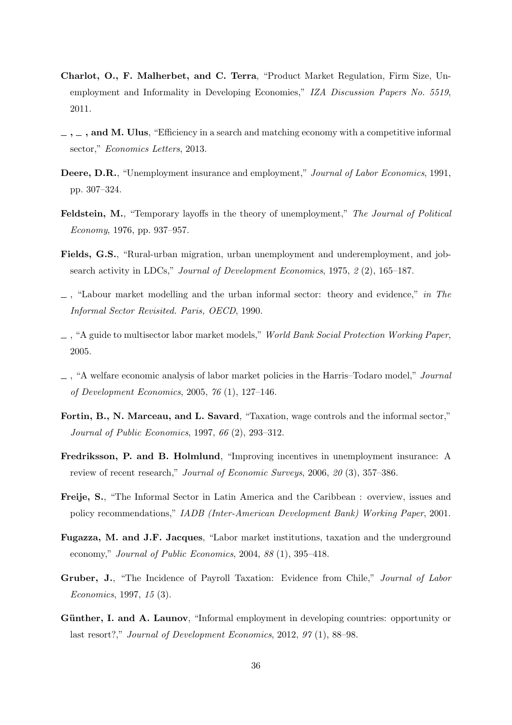- Charlot, O., F. Malherbet, and C. Terra, "Product Market Regulation, Firm Size, Unemployment and Informality in Developing Economies," IZA Discussion Papers No. 5519, 2011.
- $-$ ,  $-$ , and M. Ulus, "Efficiency in a search and matching economy with a competitive informal sector," Economics Letters, 2013.
- Deere, D.R., "Unemployment insurance and employment," Journal of Labor Economics, 1991, pp. 307–324.
- Feldstein, M., "Temporary layoffs in the theory of unemployment," The Journal of Political Economy, 1976, pp. 937–957.
- Fields, G.S., "Rural-urban migration, urban unemployment and underemployment, and jobsearch activity in LDCs," Journal of Development Economics, 1975, 2 (2), 165–187.
- $\Box$ , "Labour market modelling and the urban informal sector: theory and evidence," in The Informal Sector Revisited. Paris, OECD, 1990.
- , "A guide to multisector labor market models," World Bank Social Protection Working Paper, 2005.
- , "A welfare economic analysis of labor market policies in the Harris–Todaro model," Journal of Development Economics, 2005, 76 (1), 127–146.
- Fortin, B., N. Marceau, and L. Savard, "Taxation, wage controls and the informal sector," Journal of Public Economics, 1997, 66 (2), 293–312.
- Fredriksson, P. and B. Holmlund, "Improving incentives in unemployment insurance: A review of recent research," Journal of Economic Surveys, 2006, 20 (3), 357–386.
- Freije, S., "The Informal Sector in Latin America and the Caribbean : overview, issues and policy recommendations," IADB (Inter-American Development Bank) Working Paper, 2001.
- Fugazza, M. and J.F. Jacques, "Labor market institutions, taxation and the underground economy," Journal of Public Economics, 2004, 88 (1), 395–418.
- Gruber, J., "The Incidence of Payroll Taxation: Evidence from Chile," Journal of Labor Economics, 1997, 15 (3).
- Günther, I. and A. Launov, "Informal employment in developing countries: opportunity or last resort?," Journal of Development Economics, 2012, 97 (1), 88–98.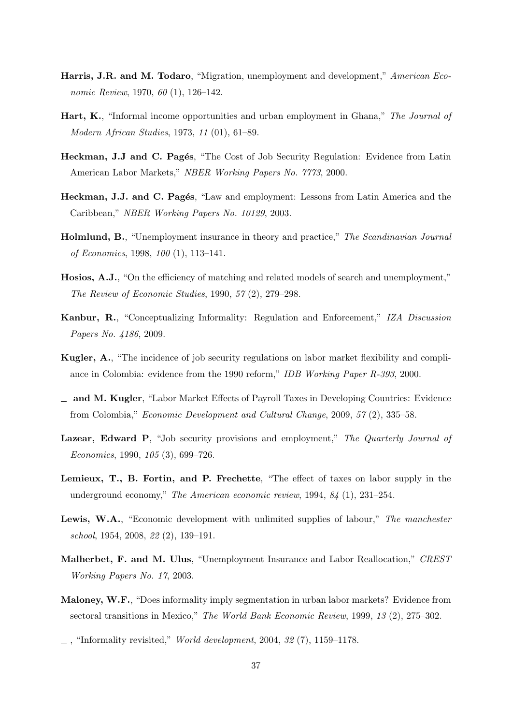- Harris, J.R. and M. Todaro, "Migration, unemployment and development," American Economic Review, 1970, 60 (1), 126–142.
- **Hart, K.**, "Informal income opportunities and urban employment in Ghana," The Journal of Modern African Studies, 1973, 11 (01), 61–89.
- Heckman, J.J and C. Pagés, "The Cost of Job Security Regulation: Evidence from Latin American Labor Markets," NBER Working Papers No. 7773, 2000.
- Heckman, J.J. and C. Pagés, "Law and employment: Lessons from Latin America and the Caribbean," NBER Working Papers No. 10129, 2003.
- Holmlund, B., "Unemployment insurance in theory and practice," The Scandinavian Journal of Economics, 1998, 100 (1), 113–141.
- Hosios, A.J., "On the efficiency of matching and related models of search and unemployment," The Review of Economic Studies, 1990, 57 (2), 279–298.
- Kanbur, R., "Conceptualizing Informality: Regulation and Enforcement," IZA Discussion Papers No. 4186, 2009.
- Kugler, A., "The incidence of job security regulations on labor market flexibility and compliance in Colombia: evidence from the 1990 reform," IDB Working Paper R-393, 2000.
- and M. Kugler, "Labor Market Effects of Payroll Taxes in Developing Countries: Evidence from Colombia," Economic Development and Cultural Change, 2009, 57 (2), 335–58.
- Lazear, Edward P, "Job security provisions and employment," The Quarterly Journal of Economics, 1990, 105 (3), 699–726.
- Lemieux, T., B. Fortin, and P. Frechette, "The effect of taxes on labor supply in the underground economy," The American economic review, 1994, 84 (1), 231–254.
- Lewis, W.A., "Economic development with unlimited supplies of labour," The manchester school, 1954, 2008, 22 (2), 139–191.
- Malherbet, F. and M. Ulus, "Unemployment Insurance and Labor Reallocation," CREST Working Papers No. 17, 2003.
- Maloney, W.F., "Does informality imply segmentation in urban labor markets? Evidence from sectoral transitions in Mexico," The World Bank Economic Review, 1999, 13 (2), 275–302.
- $\ldots$ , "Informality revisited," World development, 2004, 32 (7), 1159-1178.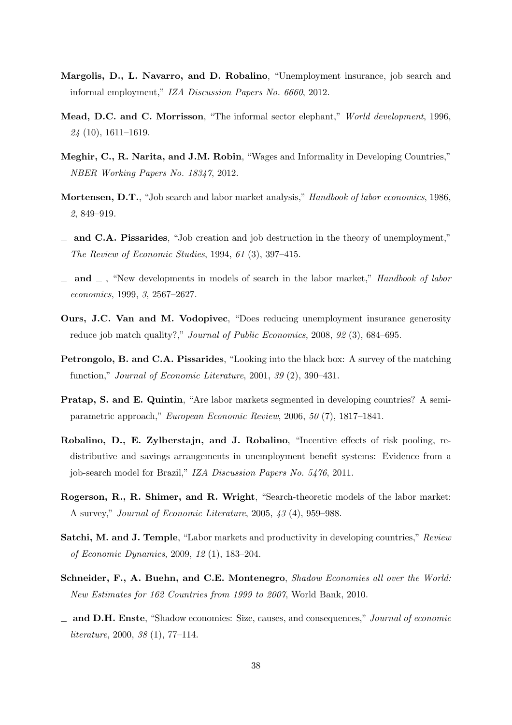- Margolis, D., L. Navarro, and D. Robalino, "Unemployment insurance, job search and informal employment," IZA Discussion Papers No. 6660, 2012.
- Mead, D.C. and C. Morrisson, "The informal sector elephant," World development, 1996,  $24(10), 1611-1619.$
- Meghir, C., R. Narita, and J.M. Robin, "Wages and Informality in Developing Countries," NBER Working Papers No. 18347, 2012.
- Mortensen, D.T., "Job search and labor market analysis," Handbook of labor economics, 1986, 2, 849–919.
- and C.A. Pissarides, "Job creation and job destruction in the theory of unemployment," The Review of Economic Studies, 1994, 61 (3), 397–415.
- and  $\Box$ , "New developments in models of search in the labor market," *Handbook of labor* economics, 1999, 3, 2567–2627.
- Ours, J.C. Van and M. Vodopivec, "Does reducing unemployment insurance generosity reduce job match quality?," Journal of Public Economics, 2008, 92 (3), 684–695.
- Petrongolo, B. and C.A. Pissarides, "Looking into the black box: A survey of the matching function," Journal of Economic Literature, 2001, 39 (2), 390–431.
- Pratap, S. and E. Quintin, "Are labor markets segmented in developing countries? A semiparametric approach," European Economic Review, 2006, 50 (7), 1817–1841.
- Robalino, D., E. Zylberstajn, and J. Robalino, "Incentive effects of risk pooling, redistributive and savings arrangements in unemployment benefit systems: Evidence from a job-search model for Brazil," IZA Discussion Papers No. 5476, 2011.
- Rogerson, R., R. Shimer, and R. Wright, "Search-theoretic models of the labor market: A survey," Journal of Economic Literature, 2005, 43 (4), 959–988.
- Satchi, M. and J. Temple, "Labor markets and productivity in developing countries," Review of Economic Dynamics, 2009, 12 (1), 183–204.
- Schneider, F., A. Buehn, and C.E. Montenegro, Shadow Economies all over the World: New Estimates for 162 Countries from 1999 to 2007, World Bank, 2010.
- and D.H. Enste, "Shadow economies: Size, causes, and consequences," Journal of economic literature, 2000, 38 (1), 77–114.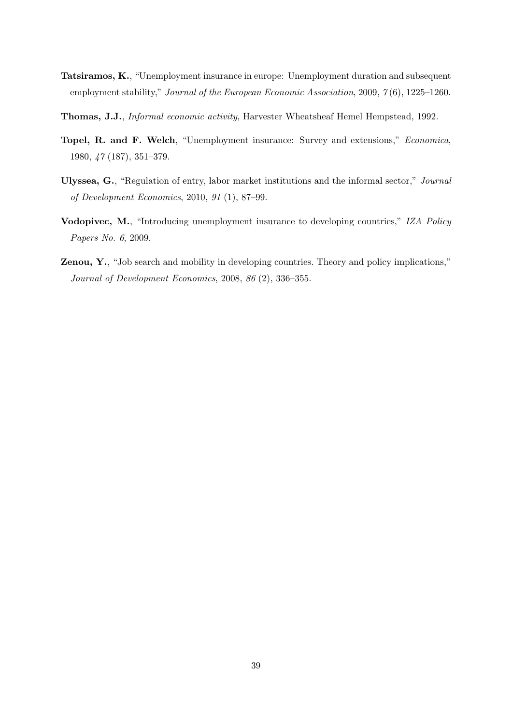- Tatsiramos, K., "Unemployment insurance in europe: Unemployment duration and subsequent employment stability," Journal of the European Economic Association, 2009, 7(6), 1225-1260.
- Thomas, J.J., Informal economic activity, Harvester Wheatsheaf Hemel Hempstead, 1992.
- Topel, R. and F. Welch, "Unemployment insurance: Survey and extensions," Economica, 1980, 47 (187), 351–379.
- Ulyssea, G., "Regulation of entry, labor market institutions and the informal sector," Journal of Development Economics, 2010, 91 (1), 87–99.
- Vodopivec, M., "Introducing unemployment insurance to developing countries," IZA Policy Papers No. 6, 2009.
- Zenou, Y., "Job search and mobility in developing countries. Theory and policy implications," Journal of Development Economics, 2008, 86 (2), 336–355.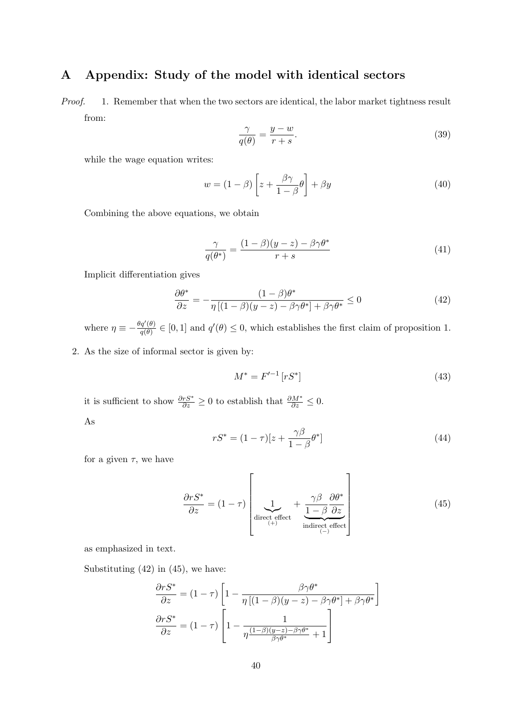## A Appendix: Study of the model with identical sectors

Proof. 1. Remember that when the two sectors are identical, the labor market tightness result from:

$$
\frac{\gamma}{q(\theta)} = \frac{y - w}{r + s}.\tag{39}
$$

while the wage equation writes:

$$
w = (1 - \beta) \left[ z + \frac{\beta \gamma}{1 - \beta} \theta \right] + \beta y \tag{40}
$$

Combining the above equations, we obtain

$$
\frac{\gamma}{q(\theta^*)} = \frac{(1-\beta)(y-z) - \beta\gamma\theta^*}{r+s} \tag{41}
$$

Implicit differentiation gives

$$
\frac{\partial \theta^*}{\partial z} = -\frac{(1-\beta)\theta^*}{\eta[(1-\beta)(y-z) - \beta\gamma\theta^*] + \beta\gamma\theta^*} \le 0
$$
\n(42)

where  $\eta \equiv -\frac{\theta q'(\theta)}{q(\theta)}$  $q(\theta)$   $\in [0,1]$  and  $q'(\theta) \leq 0$ , which establishes the first claim of proposition 1.

2. As the size of informal sector is given by:

$$
M^* = F'^{-1} [rS^*]
$$
\n(43)

it is sufficient to show  $\frac{\partial rS^*}{\partial z} \geq 0$  to establish that  $\frac{\partial M^*}{\partial z} \leq 0$ .

As

$$
rS^* = (1 - \tau)[z + \frac{\gamma \beta}{1 - \beta} \theta^*]
$$
\n(44)

for a given  $\tau$ , we have

$$
\frac{\partial r S^*}{\partial z} = (1 - \tau) \left[ \underbrace{1}_{\text{direct effect}} + \underbrace{\frac{\gamma \beta}{1 - \beta} \frac{\partial \theta^*}{\partial z}}_{\text{indirect effect}} \right] \tag{45}
$$

as emphasized in text.

Substituting  $(42)$  in  $(45)$ , we have:

$$
\frac{\partial rS^*}{\partial z} = (1 - \tau) \left[ 1 - \frac{\beta \gamma \theta^*}{\eta \left[ (1 - \beta)(y - z) - \beta \gamma \theta^* \right] + \beta \gamma \theta^*} \right]
$$

$$
\frac{\partial rS^*}{\partial z} = (1 - \tau) \left[ 1 - \frac{1}{\eta \frac{(1 - \beta)(y - z) - \beta \gamma \theta^*}{\beta \gamma \theta^*} + 1} \right]
$$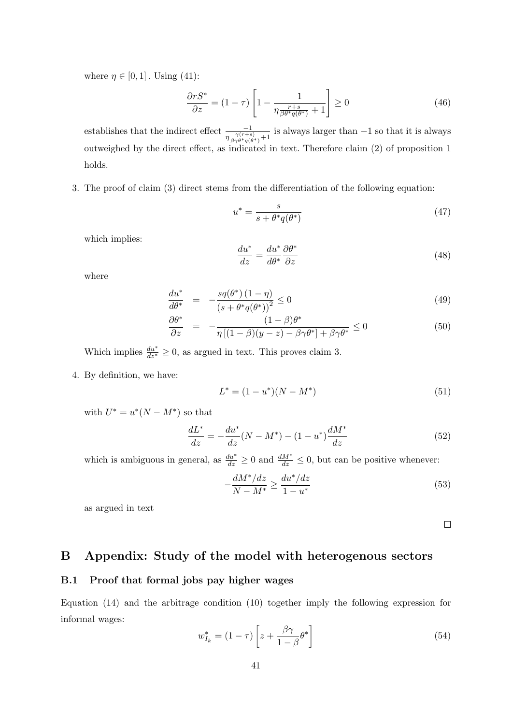where  $\eta \in [0, 1]$ . Using (41):

$$
\frac{\partial rS^*}{\partial z} = (1 - \tau) \left[ 1 - \frac{1}{\eta \frac{r+s}{\beta \theta^* q(\theta^*)} + 1} \right] \ge 0 \tag{46}
$$

establishes that the indirect effect  $\frac{-1}{\eta \frac{\gamma(r+s)}{\beta \gamma \theta^* q(\theta^*)}+1}$ is always larger than −1 so that it is always outweighed by the direct effect, as indicated in text. Therefore claim (2) of proposition 1 holds.

3. The proof of claim (3) direct stems from the differentiation of the following equation:

$$
u^* = \frac{s}{s + \theta^* q(\theta^*)} \tag{47}
$$

which implies:

$$
\frac{du^*}{dz} = \frac{du^*}{d\theta^*} \frac{\partial \theta^*}{\partial z} \tag{48}
$$

where

$$
\frac{du^*}{d\theta^*} = -\frac{sq(\theta^*)(1-\eta)}{(s+\theta^*q(\theta^*))^2} \le 0
$$
\n(49)

$$
\frac{\partial \theta^*}{\partial z} = -\frac{(1-\beta)\theta^*}{\eta\left[(1-\beta)(y-z) - \beta\gamma\theta^*\right] + \beta\gamma\theta^*} \le 0 \tag{50}
$$

Which implies  $\frac{du^*}{dz^*} \geq 0$ , as argued in text. This proves claim 3.

4. By definition, we have:

$$
L^* = (1 - u^*)(N - M^*)
$$
\n(51)

with  $U^* = u^*(N - M^*)$  so that

$$
\frac{dL^*}{dz} = -\frac{du^*}{dz}(N - M^*) - (1 - u^*)\frac{dM^*}{dz}
$$
\n(52)

which is ambiguous in general, as  $\frac{du^*}{dz} \geq 0$  and  $\frac{dM^*}{dz} \leq 0$ , but can be positive whenever:

$$
-\frac{dM^*/dz}{N-M^*} \ge \frac{du^*/dz}{1-u^*} \tag{53}
$$

as argued in text

 $\Box$ 

### B Appendix: Study of the model with heterogenous sectors

### B.1 Proof that formal jobs pay higher wages

Equation (14) and the arbitrage condition (10) together imply the following expression for informal wages: ·  $\overline{a}$ 

$$
w_{I_k}^* = (1 - \tau) \left[ z + \frac{\beta \gamma}{1 - \beta} \theta^* \right]
$$
 (54)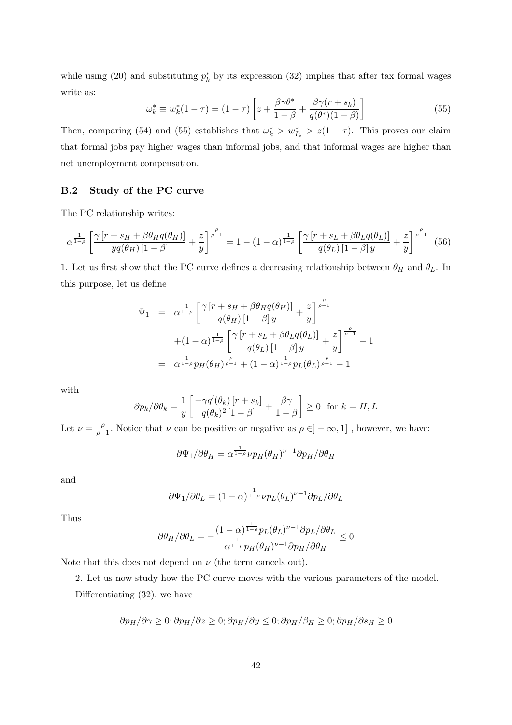while using (20) and substituting  $p_k^*$  by its expression (32) implies that after tax formal wages write as: ·  $\overline{a}$ 

$$
\omega_k^* \equiv w_k^*(1-\tau) = (1-\tau) \left[ z + \frac{\beta \gamma \theta^*}{1-\beta} + \frac{\beta \gamma (r+s_k)}{q(\theta^*)(1-\beta)} \right] \tag{55}
$$

Then, comparing (54) and (55) establishes that  $\omega_k^* > w_{I_k}^* > z(1 - \tau)$ . This proves our claim that formal jobs pay higher wages than informal jobs, and that informal wages are higher than net unemployment compensation.

### B.2 Study of the PC curve

The PC relationship writes:

$$
\alpha^{\frac{1}{1-\rho}}\left[\frac{\gamma\left[r+s_H+\beta\theta_Hq(\theta_H)\right]}{yq(\theta_H)\left[1-\beta\right]}+\frac{z}{y}\right]^{\frac{\rho}{\rho-1}}=1-(1-\alpha)^{\frac{1}{1-\rho}}\left[\frac{\gamma\left[r+s_L+\beta\theta_Lq(\theta_L)\right]}{q(\theta_L)\left[1-\beta\right]y}+\frac{z}{y}\right]^{\frac{\rho}{\rho-1}}\tag{56}
$$

1. Let us first show that the PC curve defines a decreasing relationship between  $\theta_H$  and  $\theta_L$ . In this purpose, let us define

$$
\Psi_1 = \alpha^{\frac{1}{1-\rho}} \left[ \frac{\gamma [r + s_H + \beta \theta_H q(\theta_H)]}{q(\theta_H) [1 - \beta] y} + \frac{z}{y} \right]^{\frac{\rho}{\rho - 1}} \n+ (1 - \alpha)^{\frac{1}{1-\rho}} \left[ \frac{\gamma [r + s_L + \beta \theta_L q(\theta_L)]}{q(\theta_L) [1 - \beta] y} + \frac{z}{y} \right]^{\frac{\rho}{\rho - 1}} - 1 \n= \alpha^{\frac{1}{1-\rho}} p_H(\theta_H)^{\frac{\rho}{\rho - 1}} + (1 - \alpha)^{\frac{1}{1-\rho}} p_L(\theta_L)^{\frac{\rho}{\rho - 1}} - 1
$$

with

$$
\partial p_k/\partial \theta_k = \frac{1}{y} \left[ \frac{-\gamma q'(\theta_k) \left[ r + s_k \right]}{q(\theta_k)^2 \left[ 1 - \beta \right]} + \frac{\beta \gamma}{1 - \beta} \right] \ge 0 \text{ for } k = H, L
$$

Let  $\nu = \frac{\rho}{\rho}$  $\frac{\rho}{\rho-1}$ . Notice that  $\nu$  can be positive or negative as  $\rho \in ]-\infty,1]$ , however, we have:

$$
\partial \Psi_1 / \partial \theta_H = \alpha^{\frac{1}{1-\rho}} \nu p_H (\theta_H)^{\nu-1} \partial p_H / \partial \theta_H
$$

and

$$
\partial \Psi_1 / \partial \theta_L = (1 - \alpha)^{\frac{1}{1 - \rho}} \nu p_L (\theta_L)^{\nu - 1} \partial p_L / \partial \theta_L
$$

Thus

$$
\partial \theta_H / \partial \theta_L = -\frac{(1-\alpha)^{\frac{1}{1-\rho}} p_L(\theta_L)^{\nu-1} \partial p_L / \partial \theta_L}{\alpha^{\frac{1}{1-\rho}} p_H(\theta_H)^{\nu-1} \partial p_H / \partial \theta_H} \le 0
$$

Note that this does not depend on  $\nu$  (the term cancels out).

2. Let us now study how the PC curve moves with the various parameters of the model. Differentiating (32), we have

$$
\partial p_H / \partial \gamma \geq 0; \partial p_H / \partial z \geq 0; \partial p_H / \partial y \leq 0; \partial p_H / \beta_H \geq 0; \partial p_H / \partial s_H \geq 0
$$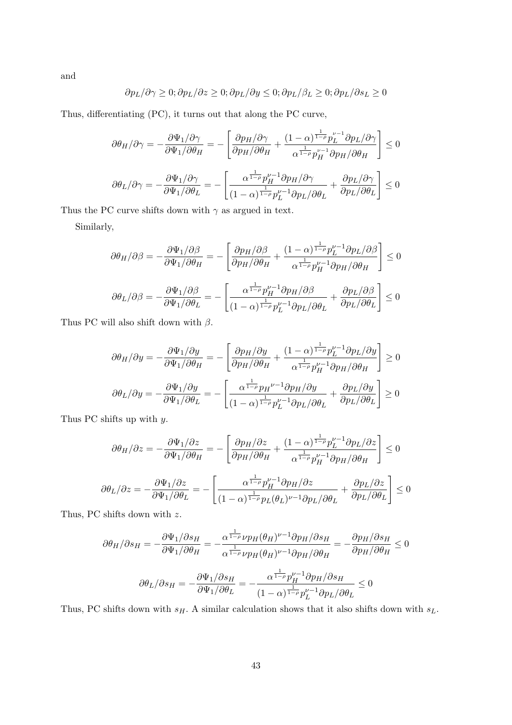and

$$
\partial p_L/\partial \gamma \ge 0; \partial p_L/\partial z \ge 0; \partial p_L/\partial y \le 0; \partial p_L/\beta_L \ge 0; \partial p_L/\partial s_L \ge 0
$$

Thus, differentiating (PC), it turns out that along the PC curve,

$$
\partial \theta_H / \partial \gamma = -\frac{\partial \Psi_1 / \partial \gamma}{\partial \Psi_1 / \partial \theta_H} = -\left[\frac{\partial p_H / \partial \gamma}{\partial p_H / \partial \theta_H} + \frac{(1 - \alpha)^{\frac{1}{1 - \rho}} p_L^{\nu - 1} \partial p_L / \partial \gamma}{\alpha^{\frac{1}{1 - \rho}} p_H^{\nu - 1} \partial p_H / \partial \theta_H}\right] \le 0
$$
  

$$
\partial \theta_L / \partial \gamma = -\frac{\partial \Psi_1 / \partial \gamma}{\partial \Psi_1 / \partial \theta_L} = -\left[\frac{\alpha^{\frac{1}{1 - \rho}} p_H^{\nu - 1} \partial p_H / \partial \gamma}{(1 - \alpha)^{\frac{1}{1 - \rho}} p_L^{\nu - 1} \partial p_L / \partial \theta_L} + \frac{\partial p_L / \partial \gamma}{\partial p_L / \partial \theta_L}\right] \le 0
$$

Thus the PC curve shifts down with  $\gamma$  as argued in text.

Similarly,

$$
\partial \theta_H / \partial \beta = -\frac{\partial \Psi_1 / \partial \beta}{\partial \Psi_1 / \partial \theta_H} = -\left[\frac{\partial p_H / \partial \beta}{\partial p_H / \partial \theta_H} + \frac{(1 - \alpha)^{\frac{1}{1 - \rho}} p_L^{\nu - 1} \partial p_L / \partial \beta}{\alpha^{\frac{1}{1 - \rho}} p_H^{\nu - 1} \partial p_H / \partial \theta_H}\right] \le 0
$$

$$
\partial \theta_L / \partial \beta = -\frac{\partial \Psi_1 / \partial \beta}{\partial \Psi_1 / \partial \theta_L} = -\left[\frac{\alpha^{\frac{1}{1 - \rho}} p_H^{\nu - 1} \partial p_H / \partial \beta}{(1 - \alpha)^{\frac{1}{1 - \rho}} p_L^{\nu - 1} \partial p_L / \partial \theta_L} + \frac{\partial p_L / \partial \beta}{\partial p_L / \partial \theta_L}\right] \le 0
$$

Thus PC will also shift down with  $\beta$ .

$$
\partial \theta_H / \partial y = -\frac{\partial \Psi_1 / \partial y}{\partial \Psi_1 / \partial \theta_H} = -\left[\frac{\partial p_H / \partial y}{\partial p_H / \partial \theta_H} + \frac{(1 - \alpha)^{\frac{1}{1 - \rho}} p_L^{\nu - 1} \partial p_L / \partial y}{\alpha^{\frac{1}{1 - \rho}} p_H^{\nu - 1} \partial p_H / \partial \theta_H}\right] \ge 0
$$
  

$$
\partial \theta_L / \partial y = -\frac{\partial \Psi_1 / \partial y}{\partial \Psi_1 / \partial \theta_L} = -\left[\frac{\alpha^{\frac{1}{1 - \rho}} p_H^{\nu - 1} \partial p_H / \partial y}{(1 - \alpha)^{\frac{1}{1 - \rho}} p_L^{\nu - 1} \partial p_L / \partial \theta_L} + \frac{\partial p_L / \partial y}{\partial p_L / \partial \theta_L}\right] \ge 0
$$

Thus PC shifts up with  $y$ .

$$
\partial \theta_H / \partial z = -\frac{\partial \Psi_1 / \partial z}{\partial \Psi_1 / \partial \theta_H} = -\left[\frac{\partial p_H / \partial z}{\partial p_H / \partial \theta_H} + \frac{(1 - \alpha)^{\frac{1}{1 - \rho}} p_L^{\nu - 1} \partial p_L / \partial z}{\alpha^{\frac{1}{1 - \rho}} p_H^{\nu - 1} \partial p_H / \partial \theta_H}\right] \le 0
$$

$$
\partial \theta_L / \partial z = -\frac{\partial \Psi_1 / \partial z}{\partial \Psi_1 / \partial \theta_L} = -\left[\frac{\alpha^{\frac{1}{1 - \rho}} p_H^{\nu - 1} \partial p_H / \partial z}{(1 - \alpha)^{\frac{1}{1 - \rho}} p_L (\theta_L)^{\nu - 1} \partial p_L / \partial \theta_L} + \frac{\partial p_L / \partial z}{\partial p_L / \partial \theta_L}\right] \le 0
$$

Thus, PC shifts down with z.

$$
\partial \theta_H / \partial s_H = -\frac{\partial \Psi_1 / \partial s_H}{\partial \Psi_1 / \partial \theta_H} = -\frac{\alpha^{\frac{1}{1-\rho}} \nu p_H (\theta_H)^{\nu-1} \partial p_H / \partial s_H}{\alpha^{\frac{1}{1-\rho}} \nu p_H (\theta_H)^{\nu-1} \partial p_H / \partial \theta_H} = -\frac{\partial p_H / \partial s_H}{\partial p_H / \partial \theta_H} \le 0
$$

$$
\partial \theta_L / \partial s_H = -\frac{\partial \Psi_1 / \partial s_H}{\partial \Psi_1 / \partial \theta_L} = -\frac{\alpha^{\frac{1}{1-\rho}} p_H^{\nu-1} \partial p_H / \partial s_H}{(1-\alpha)^{\frac{1}{1-\rho}} p_L^{\nu-1} \partial p_L / \partial \theta_L} \le 0
$$

Thus, PC shifts down with  $s_H$ . A similar calculation shows that it also shifts down with  $s_L$ .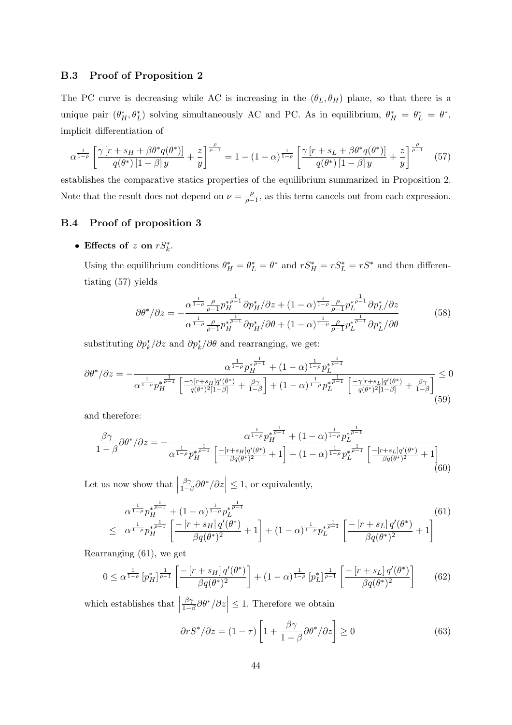### B.3 Proof of Proposition 2

The PC curve is decreasing while AC is increasing in the  $(\theta_L, \theta_H)$  plane, so that there is a unique pair  $(\theta_H^*, \theta_L^*)$  solving simultaneously AC and PC. As in equilibrium,  $\theta_H^* = \theta_L^* = \theta^*,$ implicit differentiation of

$$
\alpha^{\frac{1}{1-\rho}}\left[\frac{\gamma\left[r+s_H+\beta\theta^*q(\theta^*)\right]}{q(\theta^*)\left[1-\beta\right]y}+\frac{z}{y}\right]^{\frac{\rho}{\rho-1}}=1-(1-\alpha)^{\frac{1}{1-\rho}}\left[\frac{\gamma\left[r+s_L+\beta\theta^*q(\theta^*)\right]}{q(\theta^*)\left[1-\beta\right]y}+\frac{z}{y}\right]^{\frac{\rho}{\rho-1}}\tag{57}
$$

establishes the comparative statics properties of the equilibrium summarized in Proposition 2. Note that the result does not depend on  $\nu = \frac{\rho}{\rho}$  $\frac{\rho}{\rho-1}$ , as this term cancels out from each expression.

### B.4 Proof of proposition 3

• Effects of z on  $rS_k^*$ .

Using the equilibrium conditions  $\theta_H^* = \theta_L^* = \theta^*$  and  $rS_H^* = rS_L^* = rS^*$  and then differentiating (57) yields

$$
\partial \theta^* / \partial z = -\frac{\alpha^{\frac{1}{1-\rho}} \frac{\rho}{\rho-1} p_H^{*\frac{1}{\rho-1}} \partial p_H^* / \partial z + (1-\alpha)^{\frac{1}{1-\rho}} \frac{\rho}{\rho-1} p_L^{*\frac{1}{\rho-1}} \partial p_L^* / \partial z}{\alpha^{\frac{1}{1-\rho}} \frac{\rho}{\rho-1} p_H^{*\frac{1}{\rho-1}} \partial p_H^* / \partial \theta + (1-\alpha)^{\frac{1}{1-\rho}} \frac{\rho}{\rho-1} p_L^{*\frac{1}{\rho-1}} \partial p_L^* / \partial \theta} \tag{58}
$$

substituting  $\partial p_k^* / \partial z$  and  $\partial p_k^* / \partial \theta$  and rearranging, we get:

$$
\partial \theta^* / \partial z = - \frac{\alpha^{\frac{1}{1-\rho}} p_H^{*\frac{1}{\rho-1}} + (1-\alpha)^{\frac{1}{1-\rho}} p_L^{*\frac{1}{\rho-1}}}{\alpha^{\frac{1}{1-\rho}} p_H^{*\frac{1}{\rho-1}}} \left[ \frac{-\gamma [r+s_H] q'(\theta^*)}{q(\theta^*)^2 [1-\beta]} + \frac{\beta \gamma}{1-\beta} \right] + (1-\alpha)^{\frac{1}{1-\rho}} p_L^{*\frac{1}{\rho-1}} \left[ \frac{-\gamma [r+s_L] q'(\theta^*)}{q(\theta^*)^2 [1-\beta]} + \frac{\beta \gamma}{1-\beta} \right] \tag{59}
$$

and therefore:

$$
\frac{\beta\gamma}{1-\beta}\partial\theta^{*}/\partial z = -\frac{\alpha^{\frac{1}{1-\rho}}p_{H}^{*\frac{1}{\rho-1}} + (1-\alpha)^{\frac{1}{1-\rho}}p_{L}^{*\frac{1}{\rho-1}}}{\alpha^{\frac{1}{1-\rho}}p_{H}^{*\frac{1}{\rho-1}}\left[\frac{-(r+s_{H}]q'(\theta^{*})}{\beta q(\theta^{*})^{2}} + 1\right] + (1-\alpha)^{\frac{1}{1-\rho}}p_{L}^{*\frac{1}{\rho-1}}\left[\frac{-(r+s_{L}]q'(\theta^{*})}{\beta q(\theta^{*})^{2}} + 1\right]}
$$
(60)

Let us now show that  $\frac{\beta \gamma}{1 - \beta}$  $\frac{\beta\gamma}{1-\beta}\partial\theta^*/\partial z$  $\vert \leq 1$ , or equivalently,

$$
\alpha^{\frac{1}{1-\rho}} p_H^{\frac{1}{\rho-1}} + (1-\alpha)^{\frac{1}{1-\rho}} p_L^{\frac{1}{\rho-1}} \n\le \alpha^{\frac{1}{1-\rho}} p_H^{\frac{1}{\rho-1}} \left[ \frac{-\left[r+s_H\right] q'(\theta^*)}{\beta q(\theta^*)^2} + 1 \right] + (1-\alpha)^{\frac{1}{1-\rho}} p_L^{\frac{1}{\rho-1}} \left[ \frac{-\left[r+s_L\right] q'(\theta^*)}{\beta q(\theta^*)^2} + 1 \right] \n\tag{61}
$$

Rearranging (61), we get

$$
0 \leq \alpha^{\frac{1}{1-\rho}} \left[ p_H^* \right]^{\frac{1}{\rho-1}} \left[ \frac{-\left[ r + s_H \right] q'(\theta^*)}{\beta q(\theta^*)^2} \right] + (1-\alpha)^{\frac{1}{1-\rho}} \left[ p_L^* \right]^{\frac{1}{\rho-1}} \left[ \frac{-\left[ r + s_L \right] q'(\theta^*)}{\beta q(\theta^*)^2} \right] \tag{62}
$$

which establishes that  $\frac{\beta \gamma}{1-\gamma}$  $\frac{\beta\gamma}{1-\beta}\partial\theta^*/\partial z$  $\vert \leq 1$ . Therefore we obtain ·

$$
\frac{\partial rS^*}{\partial z} = (1 - \tau) \left[ 1 + \frac{\beta \gamma}{1 - \beta} \partial \theta^* / \partial z \right] \ge 0 \tag{63}
$$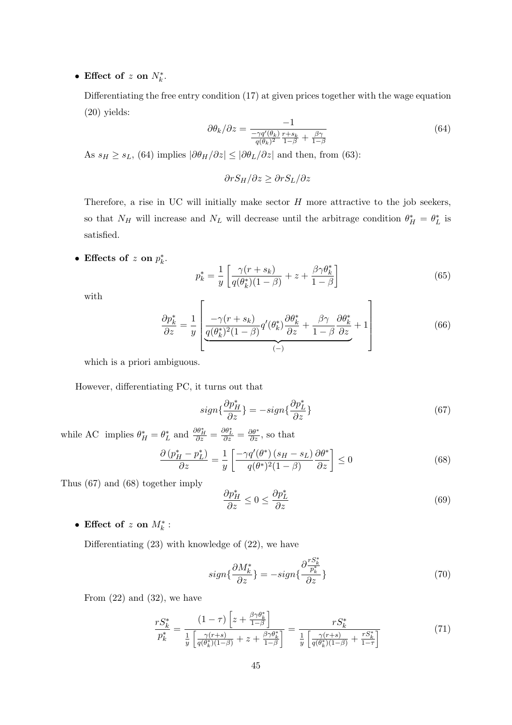• Effect of z on  $N_k^*$ .

Differentiating the free entry condition (17) at given prices together with the wage equation (20) yields:

$$
\partial \theta_k / \partial z = \frac{-1}{\frac{-\gamma q'(\theta_k)}{q(\theta_k)^2} \frac{r + s_k}{1 - \beta} + \frac{\beta \gamma}{1 - \beta}}
$$
(64)

As  $s_H \geq s_L$ , (64) implies  $|\partial \theta_H / \partial z| \leq |\partial \theta_L / \partial z|$  and then, from (63):

 $\mathbf{r}$ 

 $\partial rS_H/\partial z \geq \partial rS_L/\partial z$ 

Therefore, a rise in UC will initially make sector  $H$  more attractive to the job seekers, so that  $N_H$  will increase and  $N_L$  will decrease until the arbitrage condition  $\theta_H^* = \theta_L^*$  is satisfied.

• Effects of z on  $p_k^*$ .

$$
p_k^* = \frac{1}{y} \left[ \frac{\gamma(r+s_k)}{q(\theta_k^*)(1-\beta)} + z + \frac{\beta \gamma \theta_k^*}{1-\beta} \right]
$$
(65)

with

$$
\frac{\partial p_k^*}{\partial z} = \frac{1}{y} \left[ \underbrace{\frac{-\gamma(r+s_k)}{q(\theta_k^*)^2(1-\beta)} q'(\theta_k^*) \frac{\partial \theta_k^*}{\partial z} + \frac{\beta \gamma}{1-\beta} \frac{\partial \theta_k^*}{\partial z}}_{(-)} + 1 \right] \tag{66}
$$

which is a priori ambiguous.

However, differentiating PC, it turns out that

$$
sign\{\frac{\partial p_H^*}{\partial z}\} = -sign\{\frac{\partial p_L^*}{\partial z}\}\tag{67}
$$

while AC implies  $\theta_H^* = \theta_L^*$  and  $\frac{\partial \theta_H^*}{\partial z} = \frac{\partial \theta_L^*}{\partial z} = \frac{\partial \theta^*}{\partial z}$ , so that ·

$$
\frac{\partial (p_H^* - p_L^*)}{\partial z} = \frac{1}{y} \left[ \frac{-\gamma q'(\theta^*) (s_H - s_L)}{q(\theta^*)^2 (1 - \beta)} \frac{\partial \theta^*}{\partial z} \right] \le 0 \tag{68}
$$

Thus (67) and (68) together imply

$$
\frac{\partial p_H^*}{\partial z} \le 0 \le \frac{\partial p_L^*}{\partial z} \tag{69}
$$

• Effect of z on  $M_k^*$ :

Differentiating (23) with knowledge of (22), we have

$$
sign\{\frac{\partial M_k^*}{\partial z}\} = -sign\{\frac{\partial \frac{rS_k^*}{p_k^*}}{\partial z}\}\tag{70}
$$

From  $(22)$  and  $(32)$ , we have

$$
\frac{rS_k^*}{p_k^*} = \frac{(1-\tau)\left[z + \frac{\beta\gamma\theta_k^*}{1-\beta}\right]}{\frac{1}{y}\left[\frac{\gamma(r+s)}{q(\theta_k^*)(1-\beta)} + z + \frac{\beta\gamma\theta_k^*}{1-\beta}\right]} = \frac{rS_k^*}{\frac{1}{y}\left[\frac{\gamma(r+s)}{q(\theta_k^*)(1-\beta)} + \frac{rS_k^*}{1-\gamma}\right]}
$$
(71)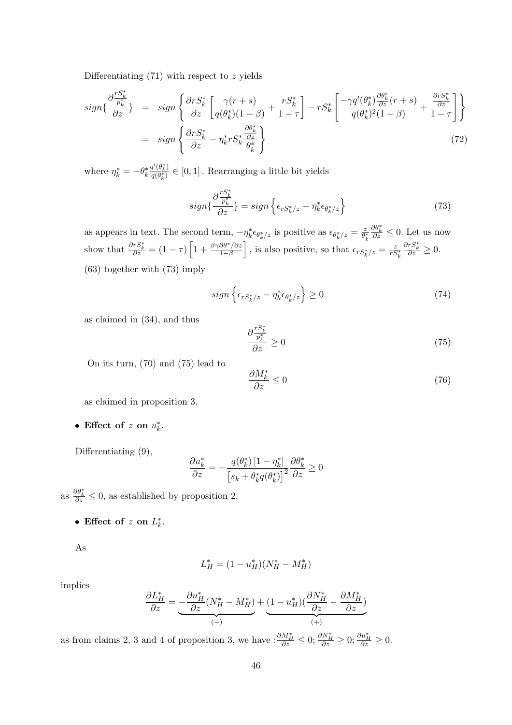Differentiating  $(71)$  with respect to z yields

$$
sign\left\{\frac{\partial \frac{rS_k^*}{p_k^*}}{\partial z}\right\} = sign\left\{\frac{\partial rS_k^*}{\partial z}\left[\frac{\gamma(r+s)}{q(\theta_k^*)(1-\beta)} + \frac{rS_k^*}{1-\tau}\right] - rS_k^*\left[\frac{-\gamma q'(\theta_k^*)\frac{\partial \theta_k^*}{\partial z}(r+s)}{q(\theta_k^*)^2(1-\beta)} + \frac{\frac{\partial rS_k^*}{\partial z}}{1-\tau}\right]\right\}
$$
  

$$
= sign\left\{\frac{\partial rS_k^*}{\partial z} - \eta_k^* rS_k^* \frac{\frac{\partial \theta_k^*}{\partial z}}{\theta_k^*}\right\}
$$
(72)

where  $\eta_k^* = -\theta_k^*$  $q'(\theta_k^*)$  $\frac{q(\theta_k)}{q(\theta_k^*)} \in [0, 1]$ . Rearranging a little bit yields

$$
sign\left\{\frac{\partial \frac{rS_k^*}{p_k^*}}{\partial z}\right\} = sign\left\{\epsilon_{rS_k^*/z} - \eta_k^* \epsilon_{\theta_k^*/z}\right\} \tag{73}
$$

as appears in text. The second term,  $-\eta_k^* \epsilon_{\theta_k^*/z}$  is positive as  $\epsilon_{\theta_k^*/z} = \frac{z}{\theta_k^3}$  $\overline{\theta^*_k}$  $\frac{\partial \theta_k^*}{\partial z} \leq 0$ . Let us now show that  $\frac{\partial r S_k^*}{\partial z} = (1 - \tau)$  $\left[1+\frac{\beta\gamma\partial\theta^*/\partial z}{1-\beta}\right]$ i , is also positive, so that  $\epsilon_{rS^*_k/z} = \frac{z}{rS^*_k}$  $\frac{\partial rS_k^*}{\partial z} \geq 0.$ (63) together with (73) imply

$$
sign\left\{\epsilon_{rS_{k}^{*}/z} - \eta_{k}^{*}\epsilon_{\theta_{k}^{*}/z}\right\} \ge 0\tag{74}
$$

as claimed in (34), and thus

$$
\frac{\partial \frac{rS_k^*}{p_k^*}}{\partial z} \ge 0 \tag{75}
$$

On its turn, (70) and (75) lead to

$$
\frac{\partial M_k^*}{\partial z} \le 0\tag{76}
$$

as claimed in proposition 3.

• Effect of z on  $u_k^*$ .

Differentiating  $(9)$ ,

$$
\frac{\partial u_k^*}{\partial z} = -\frac{q(\theta_k^*) \left[1-\eta_k^*\right]}{\left[s_k+\theta_k^*q(\theta_k^*)\right]^2} \frac{\partial \theta_k^*}{\partial z} \geq 0
$$

as  $\frac{\partial \theta_k^*}{\partial z} \leq 0$ , as established by proposition 2.

• Effect of z on  $L_k^*$ .

As

$$
L_H^* = (1 - u_H^*)(N_H^* - M_H^*)
$$

implies

$$
\frac{\partial L_H^*}{\partial z} = \underbrace{-\dfrac{\partial u_H^*}{\partial z}(N_H^*-M_H^*)}_{(-)} + \underbrace{(1-u_H^*)(\dfrac{\partial N_H^*}{\partial z}-\dfrac{\partial M_H^*}{\partial z})}_{(+)}
$$

as from claims 2, 3 and 4 of proposition 3, we have  $:\frac{\partial M_H^*}{\partial z} \leq 0$ ;  $\frac{\partial N_H^*}{\partial z} \geq 0$ ;  $\frac{\partial u_H^*}{\partial z} \geq 0$ .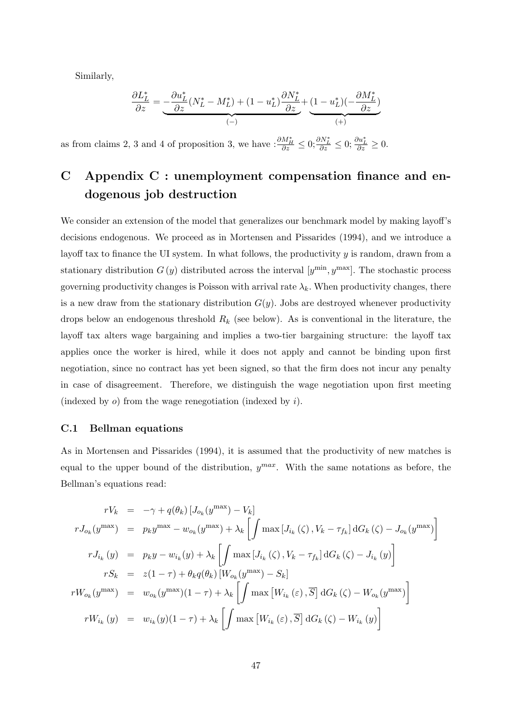Similarly,

$$
\frac{\partial L_L^*}{\partial z} = -\underbrace{\frac{\partial u_L^*}{\partial z}(N_L^*-M_L^*) + (1-u_L^*)\frac{\partial N_L^*}{\partial z}}_{(-)} + \underbrace{(1-u_L^*)(-\frac{\partial M_L^*}{\partial z})}_{(+)}
$$

as from claims 2, 3 and 4 of proposition 3, we have  $:\frac{\partial M_H^*}{\partial z} \leq 0$ ;  $\frac{\partial N_L^*}{\partial z} \leq 0$ ;  $\frac{\partial u_L^*}{\partial z} \geq 0$ .

# C Appendix C : unemployment compensation finance and endogenous job destruction

We consider an extension of the model that generalizes our benchmark model by making layoff's decisions endogenous. We proceed as in Mortensen and Pissarides (1994), and we introduce a layoff tax to finance the UI system. In what follows, the productivity  $y$  is random, drawn from a stationary distribution  $G(y)$  distributed across the interval  $[y^{\min}, y^{\max}]$ . The stochastic process governing productivity changes is Poisson with arrival rate  $\lambda_k$ . When productivity changes, there is a new draw from the stationary distribution  $G(y)$ . Jobs are destroyed whenever productivity drops below an endogenous threshold  $R_k$  (see below). As is conventional in the literature, the layoff tax alters wage bargaining and implies a two-tier bargaining structure: the layoff tax applies once the worker is hired, while it does not apply and cannot be binding upon first negotiation, since no contract has yet been signed, so that the firm does not incur any penalty in case of disagreement. Therefore, we distinguish the wage negotiation upon first meeting (indexed by  $o$ ) from the wage renegotiation (indexed by i).

### C.1 Bellman equations

As in Mortensen and Pissarides (1994), it is assumed that the productivity of new matches is equal to the upper bound of the distribution,  $y^{max}$ . With the same notations as before, the Bellman's equations read:

$$
rV_k = -\gamma + q(\theta_k) [J_{o_k}(y^{\max}) - V_k]
$$
  
\n
$$
rJ_{o_k}(y^{\max}) = p_k y^{\max} - w_{o_k}(y^{\max}) + \lambda_k \left[ \int \max [J_{i_k}(\zeta), V_k - \tau_{f_k}] dG_k(\zeta) - J_{o_k}(y^{\max}) \right]
$$
  
\n
$$
rJ_{i_k}(y) = p_k y - w_{i_k}(y) + \lambda_k \left[ \int \max [J_{i_k}(\zeta), V_k - \tau_{f_k}] dG_k(\zeta) - J_{i_k}(y) \right]
$$
  
\n
$$
rS_k = z(1 - \tau) + \theta_k q(\theta_k) [W_{o_k}(y^{\max}) - S_k]
$$
  
\n
$$
rW_{o_k}(y^{\max}) = w_{o_k}(y^{\max})(1 - \tau) + \lambda_k \left[ \int \max [W_{i_k}(\varepsilon), \overline{S}] dG_k(\zeta) - W_{o_k}(y^{\max}) \right]
$$
  
\n
$$
rW_{i_k}(y) = w_{i_k}(y)(1 - \tau) + \lambda_k \left[ \int \max [W_{i_k}(\varepsilon), \overline{S}] dG_k(\zeta) - W_{i_k}(y) \right]
$$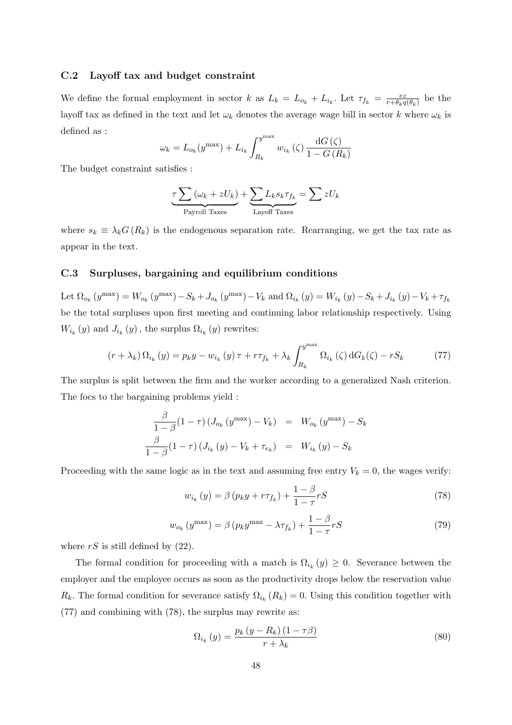#### C.2 Layoff tax and budget constraint

We define the formal employment in sector k as  $L_k = L_{o_k} + L_{i_k}$ . Let  $\tau_{f_k} = \frac{ez}{r + \theta_k q}$  $\frac{ez}{r+\theta_kq(\theta_k)}$  be the layoff tax as defined in the text and let  $\omega_k$  denotes the average wage bill in sector k where  $\omega_k$  is defined as :

$$
\omega_{k} = L_{o_{k}}(y^{\max}) + L_{i_{k}} \int_{R_{k}}^{y^{\max}} w_{i_{k}}(\zeta) \frac{\mathrm{d}G\left(\zeta\right)}{1 - G\left(R_{k}\right)}
$$

The budget constraint satisfies :

$$
\underbrace{\tau \sum (\omega_k + z U_k)}_{\text{Payroll Taxes}} + \underbrace{\sum L_k s_k \tau_{f_k}}_{\text{Layout Taxes}} = \sum z U_k
$$

where  $s_k \equiv \lambda_k G(R_k)$  is the endogenous separation rate. Rearranging, we get the tax rate as appear in the text.

### C.3 Surpluses, bargaining and equilibrium conditions

Let  $\Omega_{o_k}(y^{\max}) = W_{o_k}(y^{\max}) - S_k + J_{o_k}(y^{\max}) - V_k$  and  $\Omega_{i_k}(y) = W_{i_k}(y) - S_k + J_{i_k}(y) - V_k + \tau_{f_k}(y)$ be the total surpluses upon first meeting and continuing labor relationship respectively. Using  $W_{i_k}(y)$  and  $J_{i_k}(y)$ , the surplus  $\Omega_{i_k}(y)$  rewrites:

$$
(r + \lambda_k) \Omega_{i_k}(y) = p_k y - w_{i_k}(y) \tau + r \tau_{f_k} + \lambda_k \int_{R_k}^{y^{\max}} \Omega_{i_k}(\zeta) dG_k(\zeta) - rS_k \tag{77}
$$

The surplus is split between the firm and the worker according to a generalized Nash criterion. The focs to the bargaining problems yield :

$$
\frac{\beta}{1-\beta}(1-\tau)\left(J_{o_k}\left(y^{\max}\right)-V_k\right) = W_{o_k}\left(y^{\max}\right)-S_k
$$
  

$$
\frac{\beta}{1-\beta}(1-\tau)\left(J_{i_k}\left(y\right)-V_k+\tau_{e_k}\right) = W_{i_k}\left(y\right)-S_k
$$

Proceeding with the same logic as in the text and assuming free entry  $V_k = 0$ , the wages verify:

$$
w_{i_k}(y) = \beta \left( p_k y + r \tau_{f_k} \right) + \frac{1 - \beta}{1 - \tau} rS \tag{78}
$$

$$
w_{o_k}(y^{\max}) = \beta \left( p_k y^{\max} - \lambda \tau_{f_k} \right) + \frac{1 - \beta}{1 - \tau} rS \tag{79}
$$

where  $rS$  is still defined by (22).

The formal condition for proceeding with a match is  $\Omega_{i_k}(y) \geq 0$ . Severance between the employer and the employee occurs as soon as the productivity drops below the reservation value  $R_k$ . The formal condition for severance satisfy  $\Omega_{i_k}(R_k) = 0$ . Using this condition together with (77) and combining with (78), the surplus may rewrite as:

$$
\Omega_{i_k}\left(y\right) = \frac{p_k\left(y - R_k\right)\left(1 - \tau\beta\right)}{r + \lambda_k} \tag{80}
$$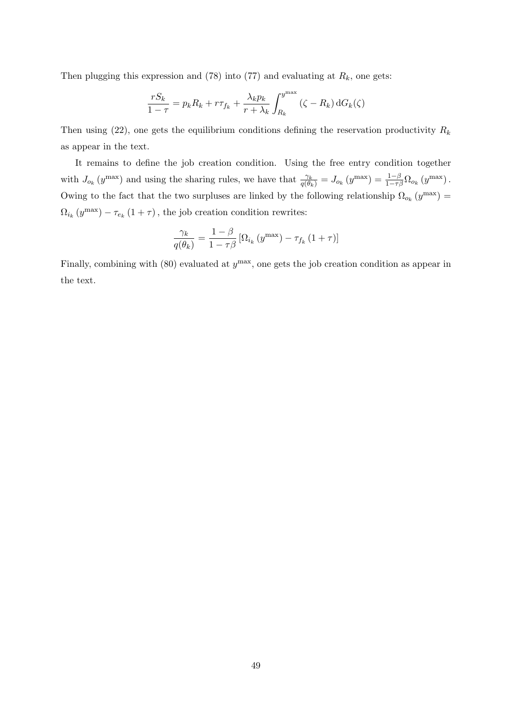Then plugging this expression and  $(78)$  into  $(77)$  and evaluating at  $R_k$ , one gets:

$$
\frac{rS_k}{1-\tau} = p_k R_k + r\tau_{f_k} + \frac{\lambda_k p_k}{r + \lambda_k} \int_{R_k}^{y^{\text{max}}} (\zeta - R_k) dG_k(\zeta)
$$

Then using (22), one gets the equilibrium conditions defining the reservation productivity  $R_k$ as appear in the text.

It remains to define the job creation condition. Using the free entry condition together with  $J_{o_k}(y^{\max})$  and using the sharing rules, we have that  $\frac{\gamma_k}{q(\theta_k)} = J_{o_k}(y^{\max}) = \frac{1-\beta}{1-\tau\beta}\Omega_{o_k}(y^{\max})$ . Owing to the fact that the two surpluses are linked by the following relationship  $\Omega_{o_k}(y^{\max}) =$  $\Omega_{i_k} (y^{\max}) - \tau_{e_k} (1 + \tau)$ , the job creation condition rewrites:

$$
\frac{\gamma_k}{q(\theta_k)} = \frac{1-\beta}{1-\tau\beta} \left[ \Omega_{i_k} \left( y^{\text{max}} \right) - \tau_{f_k} \left( 1 + \tau \right) \right]
$$

Finally, combining with  $(80)$  evaluated at  $y<sup>max</sup>$ , one gets the job creation condition as appear in the text.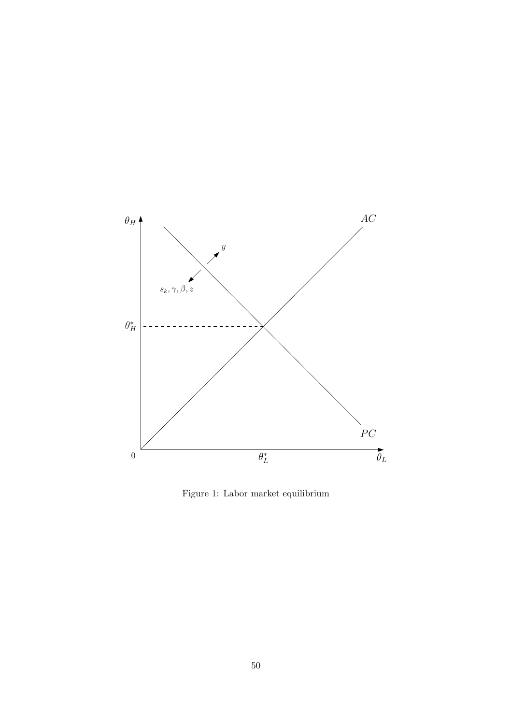

Figure 1: Labor market equilibrium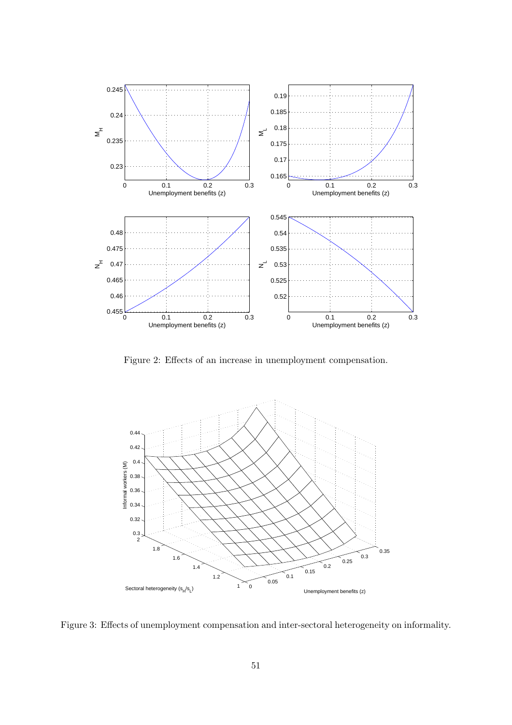

Figure 2: Effects of an increase in unemployment compensation.



Figure 3: Effects of unemployment compensation and inter-sectoral heterogeneity on informality.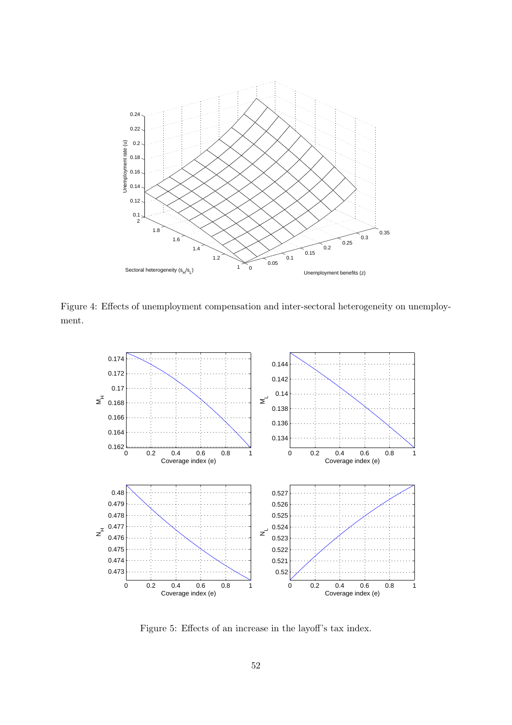

Figure 4: Effects of unemployment compensation and inter-sectoral heterogeneity on unemployment.



Figure 5: Effects of an increase in the layoff's tax index.